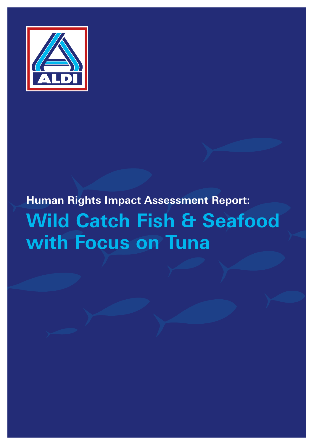

# **Human Rights Impact Assessment Report: Wild Catch Fish & Seafood with Focus on Tuna**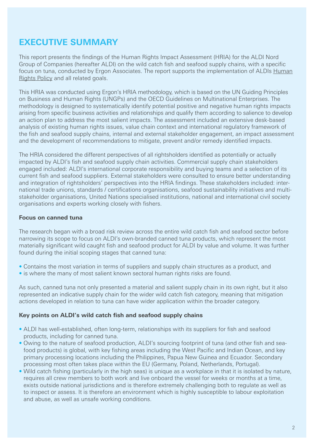# **EXECUTIVE SUMMARY**

This report presents the findings of the Human Rights Impact Assessment (HRIA) for the ALDI Nord Group of Companies (hereafter ALDI) on the wild catch fish and seafood supply chains, with a specific focus on tuna, conducted by Ergon Associates. The report supports the implementation of ALDIs Human Rights Policy and all related goals.

This HRIA was conducted using Ergon's HRIA methodology, which is based on the UN Guiding Principles on Business and Human Rights (UNGPs) and the OECD Guidelines on Multinational Enterprises. The methodology is designed to systematically identify potential positive and negative human rights impacts arising from specific business activities and relationships and qualify them according to salience to develop an action plan to address the most salient impacts. The assessment included an extensive desk-based analysis of existing human rights issues, value chain context and international regulatory framework of the fish and seafood supply chains, internal and external stakeholder engagement, an impact assessment and the development of recommendations to mitigate, prevent and/or remedy identified impacts.

The HRIA considered the different perspectives of all rightsholders identified as potentially or actually impacted by ALDI's fish and seafood supply chain activities. Commercial supply chain stakeholders engaged included: ALDI's international corporate responsibility and buying teams and a selection of its current fish and seafood suppliers. External stakeholders were consulted to ensure better understanding and integration of rightsholders' perspectives into the HRIA findings. These stakeholders included: international trade unions, standards / certifications organisations, seafood sustainability initiatives and multistakeholder organisations, United Nations specialised institutions, national and international civil society organisations and experts working closely with fishers.

# **Focus on canned tuna**

The research began with a broad risk review across the entire wild catch fish and seafood sector before narrowing its scope to focus on ALDI's own-branded canned tuna products, which represent the most materially significant wild caught fish and seafood product for ALDI by value and volume. It was further found during the initial scoping stages that canned tuna:

- Contains the most variation in terms of suppliers and supply chain structures as a product, and
- is where the many of most salient known sectoral human rights risks are found.

As such, canned tuna not only presented a material and salient supply chain in its own right, but it also represented an indicative supply chain for the wider wild catch fish category, meaning that mitigation actions developed in relation to tuna can have wider application within the broader category.

#### **Key points on ALDI's wild catch fish and seafood supply chains**

- ALDI has well-established, often long-term, relationships with its suppliers for fish and seafood products, including for canned tuna.
- Owing to the nature of seafood production, ALDI's sourcing footprint of tuna (and other fish and seafood products) is global, with key fishing areas including the West Pacific and Indian Ocean, and key primary processing locations including the Philippines, Papua New Guinea and Ecuador. Secondary processing most often takes place within the EU (Germany, Poland, Netherlands, Portugal).
- Wild catch fishing (particularly in the high seas) is unique as a workplace in that it is isolated by nature, requires all crew members to both work and live onboard the vessel for weeks or months at a time, exists outside national jurisdictions and is therefore extremely challenging both to regulate as well as to inspect or assess. It is therefore an environment which is highly susceptible to labour exploitation and abuse, as well as unsafe working conditions.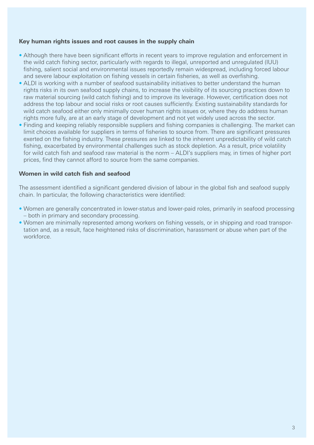#### **Key human rights issues and root causes in the supply chain**

- Although there have been significant efforts in recent years to improve regulation and enforcement in the wild catch fishing sector, particularly with regards to illegal, unreported and unregulated (IUU) fishing, salient social and environmental issues reportedly remain widespread, including forced labour and severe labour exploitation on fishing vessels in certain fisheries, as well as overfishing.
- ALDI is working with a number of seafood sustainability initiatives to better understand the human rights risks in its own seafood supply chains, to increase the visibility of its sourcing practices down to raw material sourcing (wild catch fishing) and to improve its leverage. However, certification does not address the top labour and social risks or root causes sufficiently. Existing sustainability standards for wild catch seafood either only minimally cover human rights issues or, where they do address human rights more fully, are at an early stage of development and not yet widely used across the sector.
- Finding and keeping reliably responsible suppliers and fishing companies is challenging. The market can limit choices available for suppliers in terms of fisheries to source from. There are significant pressures exerted on the fishing industry. These pressures are linked to the inherent unpredictability of wild catch fishing, exacerbated by environmental challenges such as stock depletion. As a result, price volatility for wild catch fish and seafood raw material is the norm – ALDI's suppliers may, in times of higher port prices, find they cannot afford to source from the same companies.

#### **Women in wild catch fish and seafood**

The assessment identified a significant gendered division of labour in the global fish and seafood supply chain. In particular, the following characteristics were identified:

- Women are generally concentrated in lower-status and lower-paid roles, primarily in seafood processing – both in primary and secondary processing.
- Women are minimally represented among workers on fishing vessels, or in shipping and road transportation and, as a result, face heightened risks of discrimination, harassment or abuse when part of the workforce.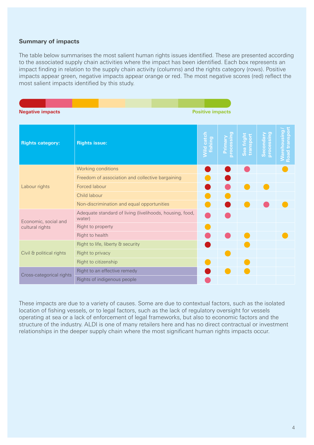### **Summary of impacts**

The table below summarises the most salient human rights issues identified. These are presented according to the associated supply chain activities where the impact has been identified. Each box represents an impact finding in relation to the supply chain activity (columns) and the rights category (rows). Positive impacts appear green, negative impacts appear orange or red. The most negative scores (red) reflect the most salient impacts identified by this study.

| <b>Negative impacts</b>  |                                                                    | <b>Positive impacts</b>      |                      |                         |                         |                                     |
|--------------------------|--------------------------------------------------------------------|------------------------------|----------------------|-------------------------|-------------------------|-------------------------------------|
| <b>Rights category:</b>  | <b>Rights issue:</b>                                               | <b>Vild catch</b><br>fishing | processin<br>Primary | Sea fright<br>transport | processing<br>Secondary | <b>Warehousing</b><br>Road transpor |
|                          | Working conditions                                                 |                              |                      |                         |                         |                                     |
|                          | Freedom of association and collective bargaining                   |                              |                      |                         |                         |                                     |
| Labour rights            | Forced labour                                                      |                              |                      |                         |                         |                                     |
|                          | Child labour                                                       |                              |                      |                         |                         |                                     |
|                          | Non-discrimination and equal opportunities                         |                              |                      |                         |                         |                                     |
| Economic, social and     | Adequate standard of living (livelihoods, housing, food,<br>water) |                              |                      |                         |                         |                                     |
| cultural rights          | Right to property                                                  |                              |                      |                         |                         |                                     |
|                          | Right to health                                                    |                              |                      |                         |                         |                                     |
|                          | Right to life, liberty & security                                  |                              |                      |                         |                         |                                     |
| Civil & political rights | Right to privacy                                                   |                              |                      |                         |                         |                                     |
|                          | Right to citizenship                                               |                              |                      |                         |                         |                                     |
| Cross-categorical rights | Right to an effective remedy                                       |                              |                      |                         |                         |                                     |
|                          | Rights of indigenous people                                        |                              |                      |                         |                         |                                     |

These impacts are due to a variety of causes. Some are due to contextual factors, such as the isolated location of fishing vessels, or to legal factors, such as the lack of regulatory oversight for vessels operating at sea or a lack of enforcement of legal frameworks, but also to economic factors and the structure of the industry. ALDI is one of many retailers here and has no direct contractual or investment relationships in the deeper supply chain where the most significant human rights impacts occur.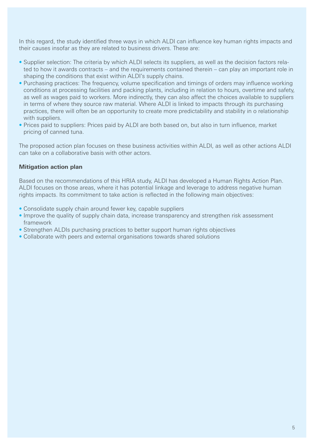In this regard, the study identified three ways in which ALDI can influence key human rights impacts and their causes insofar as they are related to business drivers. These are:

- Supplier selection: The criteria by which ALDI selects its suppliers, as well as the decision factors related to how it awards contracts – and the requirements contained therein – can play an important role in shaping the conditions that exist within ALDI's supply chains.
- Purchasing practices: The frequency, volume specification and timings of orders may influence working conditions at processing facilities and packing plants, including in relation to hours, overtime and safety, as well as wages paid to workers. More indirectly, they can also affect the choices available to suppliers in terms of where they source raw material. Where ALDI is linked to impacts through its purchasing practices, there will often be an opportunity to create more predictability and stability in o relationship with suppliers.
- Prices paid to suppliers: Prices paid by ALDI are both based on, but also in turn influence, market pricing of canned tuna.

The proposed action plan focuses on these business activities within ALDI, as well as other actions ALDI can take on a collaborative basis with other actors.

### **Mitigation action plan**

Based on the recommendations of this HRIA study, ALDI has developed a Human Rights Action Plan. ALDI focuses on those areas, where it has potential linkage and leverage to address negative human rights impacts. Its commitment to take action is reflected in the following main objectives:

- Consolidate supply chain around fewer key, capable suppliers
- Improve the quality of supply chain data, increase transparency and strengthen risk assessment framework
- Strengthen ALDIs purchasing practices to better support human rights objectives
- Collaborate with peers and external organisations towards shared solutions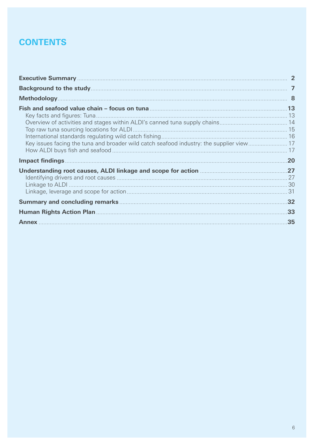# **CONTENTS**

| Key issues facing the tuna and broader wild catch seafood industry: the supplier view |  |
|---------------------------------------------------------------------------------------|--|
|                                                                                       |  |
|                                                                                       |  |
|                                                                                       |  |
|                                                                                       |  |
|                                                                                       |  |
|                                                                                       |  |
|                                                                                       |  |
|                                                                                       |  |
|                                                                                       |  |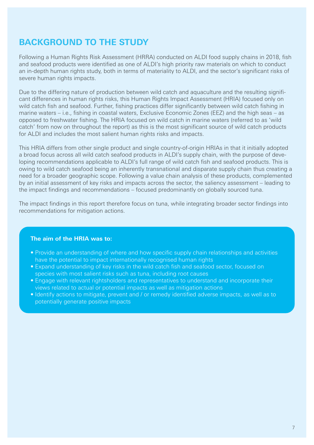# **BACKGROUND TO THE STUDY**

Following a Human Rights Risk Assessment (HRRA) conducted on ALDI food supply chains in 2018, fish and seafood products were identified as one of ALDI's high priority raw materials on which to conduct an in-depth human rights study, both in terms of materiality to ALDI, and the sector's significant risks of severe human rights impacts.

Due to the differing nature of production between wild catch and aquaculture and the resulting significant differences in human rights risks, this Human Rights Impact Assessment (HRIA) focused only on wild catch fish and seafood. Further, fishing practices differ significantly between wild catch fishing in marine waters – i.e., fishing in coastal waters, Exclusive Economic Zones (EEZ) and the high seas – as opposed to freshwater fishing. The HRIA focused on wild catch in marine waters (referred to as 'wild catch' from now on throughout the report) as this is the most significant source of wild catch products for ALDI and includes the most salient human rights risks and impacts.

This HRIA differs from other single product and single country-of-origin HRIAs in that it initially adopted a broad focus across all wild catch seafood products in ALDI's supply chain, with the purpose of developing recommendations applicable to ALDI's full range of wild catch fish and seafood products. This is owing to wild catch seafood being an inherently transnational and disparate supply chain thus creating a need for a broader geographic scope. Following a value chain analysis of these products, complemented by an initial assessment of key risks and impacts across the sector, the saliency assessment – leading to the impact findings and recommendations – focused predominantly on globally sourced tuna.

The impact findings in this report therefore focus on tuna, while integrating broader sector findings into recommendations for mitigation actions.

#### **The aim of the HRIA was to:**

- Provide an understanding of where and how specific supply chain relationships and activities have the potential to impact internationally recognised human rights
- Expand understanding of key risks in the wild catch fish and seafood sector, focused on species with most salient risks such as tuna, including root causes
- Engage with relevant rightsholders and representatives to understand and incorporate their views related to actual or potential impacts as well as mitigation actions
- Identify actions to mitigate, prevent and / or remedy identified adverse impacts, as well as to potentially generate positive impacts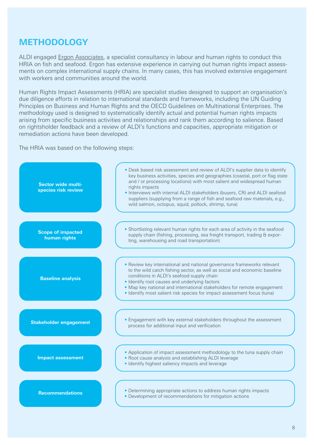# **METHODOLOGY**

ALDI engaged Ergon Associates, a specialist consultancy in labour and human rights to conduct this HRIA on fish and seafood. Ergon has extensive experience in carrying out human rights impact assessments on complex international supply chains. In many cases, this has involved extensive engagement with workers and communities around the world.

Human Rights Impact Assessments (HRIA) are specialist studies designed to support an organisation's due diligence efforts in relation to international standards and frameworks, including the UN Guiding Principles on Business and Human Rights and the OECD Guidelines on Multinational Enterprises. The methodology used is designed to systematically identify actual and potential human rights impacts arising from specific business activities and relationships and rank them according to salience. Based on rightsholder feedback and a review of ALDI's functions and capacities, appropriate mitigation or remediation actions have been developed.

The HRIA was based on the following steps:

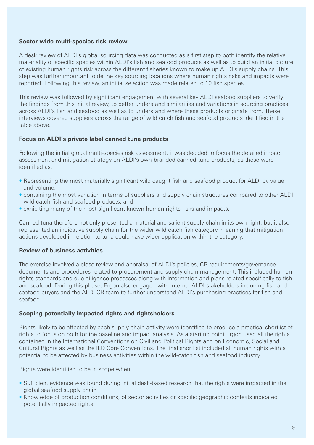#### **Sector wide multi-species risk review**

A desk review of ALDI's global sourcing data was conducted as a first step to both identify the relative materiality of specific species within ALDI's fish and seafood products as well as to build an initial picture of existing human rights risk across the different fisheries known to make up ALDI's supply chains. This step was further important to define key sourcing locations where human rights risks and impacts were reported. Following this review, an initial selection was made related to 10 fish species.

This review was followed by significant engagement with several key ALDI seafood suppliers to verify the findings from this initial review, to better understand similarities and variations in sourcing practices across ALDI's fish and seafood as well as to understand where these products originate from. These interviews covered suppliers across the range of wild catch fish and seafood products identified in the table above.

### **Focus on ALDI's private label canned tuna products**

Following the initial global multi-species risk assessment, it was decided to focus the detailed impact assessment and mitigation strategy on ALDI's own-branded canned tuna products, as these were identified as:

- Representing the most materially significant wild caught fish and seafood product for ALDI by value and volume,
- containing the most variation in terms of suppliers and supply chain structures compared to other ALDI wild catch fish and seafood products, and
- exhibiting many of the most significant known human rights risks and impacts.

Canned tuna therefore not only presented a material and salient supply chain in its own right, but it also represented an indicative supply chain for the wider wild catch fish category, meaning that mitigation actions developed in relation to tuna could have wider application within the category.

# **Review of business activities**

The exercise involved a close review and appraisal of ALDI's policies, CR requirements/governance documents and procedures related to procurement and supply chain management. This included human rights standards and due diligence processes along with information and plans related specifically to fish and seafood. During this phase, Ergon also engaged with internal ALDI stakeholders including fish and seafood buyers and the ALDI CR team to further understand ALDI's purchasing practices for fish and seafood.

#### **Scoping potentially impacted rights and rightsholders**

Rights likely to be affected by each supply chain activity were identified to produce a practical shortlist of rights to focus on both for the baseline and impact analysis. As a starting point Ergon used all the rights contained in the International Conventions on Civil and Political Rights and on Economic, Social and Cultural Rights as well as the ILO Core Conventions. The final shortlist included all human rights with a potential to be affected by business activities within the wild-catch fish and seafood industry.

Rights were identified to be in scope when:

- Sufficient evidence was found during initial desk-based research that the rights were impacted in the global seafood supply chain
- Knowledge of production conditions, of sector activities or specific geographic contexts indicated potentially impacted rights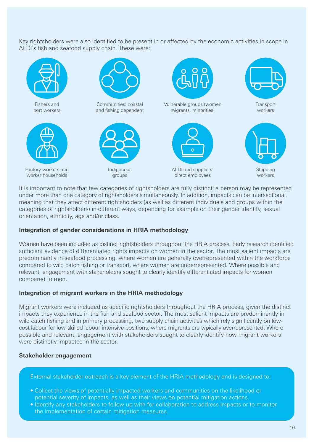Key rightsholders were also identified to be present in or affected by the economic activities in scope in ALDI's fish and seafood supply chain. These were:



It is important to note that few categories of rightsholders are fully distinct; a person may be represented under more than one category of rightsholders simultaneously. In addition, impacts can be intersectional, meaning that they affect different rightsholders (as well as different individuals and groups within the categories of rightsholders) in different ways, depending for example on their gender identity, sexual orientation, ethnicity, age and/or class.

# **Integration of gender considerations in HRIA methodology**

Women have been included as distinct rightsholders throughout the HRIA process. Early research identified sufficient evidence of differentiated rights impacts on women in the sector. The most salient impacts are predominantly in seafood processing, where women are generally overrepresented within the workforce compared to wild catch fishing or transport, where women are underrepresented. Where possible and relevant, engagement with stakeholders sought to clearly identify differentiated impacts for women compared to men.

# **Integration of migrant workers in the HRIA methodology**

Migrant workers were included as specific rightsholders throughout the HRIA process, given the distinct impacts they experience in the fish and seafood sector. The most salient impacts are predominantly in wild catch fishing and in primary processing, two supply chain activities which rely significantly on lowcost labour for low-skilled labour-intensive positions, where migrants are typically overrepresented. Where possible and relevant, engagement with stakeholders sought to clearly identify how migrant workers were distinctly impacted in the sector.

# **Stakeholder engagement**

External stakeholder outreach is a key element of the HRIA methodology and is designed to:

- Collect the views of potentially impacted workers and communities on the likelihood or potential severity of impacts, as well as their views on potential mitigation actions.
- Identify any stakeholders to follow up with for collaboration to address impacts or to monitor the implementation of certain mitigation measures.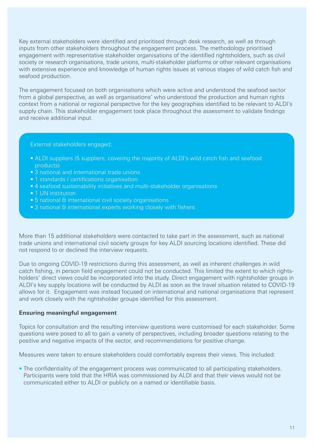Key external stakeholders were identified and prioritised through desk research, as well as through inputs from other stakeholders throughout the engagement process. The methodology prioritised engagement with representative stakeholder organisations of the identified rightsholders, such as civil society or research organisations, trade unions, multi-stakeholder platforms or other relevant organisations with extensive experience and knowledge of human rights issues at various stages of wild catch fish and seafood production.

The engagement focused on both organisations which were active and understood the seafood sector from a global perspective, as well as organisations' who understood the production and human rights context from a national or regional perspective for the key geographies identified to be relevant to ALDI's supply chain. This stakeholder engagement took place throughout the assessment to validate findings and receive additional input.

#### External stakeholders engaged:

- ALDI suppliers (5 suppliers, covering the majority of ALDI's wild catch fish and seafood products)
- 3 national and international trade unions
- 1 standards / certifications organisation
- 4 seafood sustainability initiatives and multi-stakeholder organisations
- 1 UN institution
- 5 national & international civil society organisations
- 3 national & international experts working closely with fishers

More than 15 additional stakeholders were contacted to take part in the assessment, such as national trade unions and international civil society groups for key ALDI sourcing locations identified. These did not respond to or declined the interview requests.

Due to ongoing COVID-19 restrictions during this assessment, as well as inherent challenges in wild catch fishing, in person field engagement could not be conducted. This limited the extent to which rightsholders' direct views could be incorporated into the study. Direct engagement with rightsholder groups in ALDI's key supply locations will be conducted by ALDI as soon as the travel situation related to COVID-19 allows for it. Engagement was instead focused on international and national organisations that represent and work closely with the rightsholder groups identified for this assessment.

#### **Ensuring meaningful engagement**

Topics for consultation and the resulting interview questions were customised for each stakeholder. Some questions were posed to all to gain a variety of perspectives, including broader questions relating to the positive and negative impacts of the sector, and recommendations for positive change.

Measures were taken to ensure stakeholders could comfortably express their views. This included:

• The confidentiality of the engagement process was communicated to all participating stakeholders. Participants were told that the HRIA was commissioned by ALDI and that their views would not be communicated either to ALDI or publicly on a named or identifiable basis.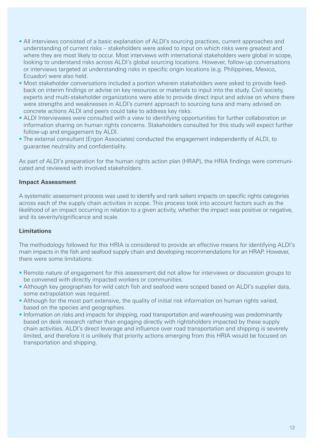- All interviews consisted of a basic explanation of ALDI's sourcing practices, current approaches and understanding of current risks – stakeholders were asked to input on which risks were greatest and where they are most likely to occur. Most interviews with international stakeholders were global in scope, looking to understand risks across ALDI's global sourcing locations. However, follow-up conversations or interviews targeted at understanding risks in specific origin locations (e.g. Philippines, Mexico, Ecuador) were also held.
- Most stakeholder conversations included a portion wherein stakeholders were asked to provide feedback on interim findings or advise on key resources or materials to input into the study. Civil society, experts and multi-stakeholder organizations were able to provide direct input and advise on where there were strengths and weaknesses in ALDI's current approach to sourcing tuna and many advised on concrete actions ALDI and peers could take to address key risks.
- ALDI Interviewees were consulted with a view to identifying opportunities for further collaboration or information sharing on human rights concerns. Stakeholders consulted for this study will expect further follow-up and engagement by ALDI.
- The external consultant (Ergon Associates) conducted the engagement independently of ALDI, to guarantee neutrality and confidentiality.

As part of ALDI's preparation for the human rights action plan (HRAP), the HRIA findings were communicated and reviewed with involved stakeholders.

# **Impact Assessment**

A systematic assessment process was used to identify and rank salient impacts on specific rights categories across each of the supply chain activities in scope. This process took into account factors such as the likelihood of an impact occurring in relation to a given activity, whether the impact was positive or negative, and its severity/significance and scale.

#### **Limitations**

The methodology followed for this HRIA is considered to provide an effective means for identifying ALDI's main impacts in the fish and seafood supply chain and developing recommendations for an HRAP. However, there were some limitations:

- Remote nature of engagement for this assessment did not allow for interviews or discussion groups to be convened with directly impacted workers or communities.
- Although key geographies for wild catch fish and seafood were scoped based on ALDI's supplier data, some extrapolation was required.
- Although for the most part extensive, the quality of initial risk information on human rights varied, based on the species and geographies.
- Information on risks and impacts for shipping, road transportation and warehousing was predominantly based on desk research rather than engaging directly with rightsholders impacted by these supply chain activities. ALDI's direct leverage and influence over road transportation and shipping is severely limited, and therefore it is unlikely that priority actions emerging from this HRIA would be focused on transportation and shipping.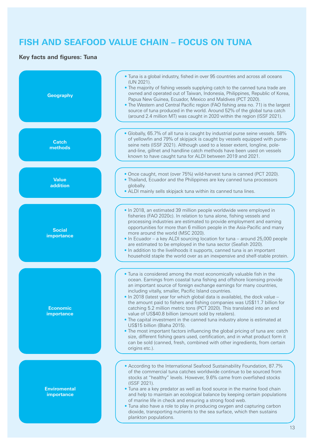# **FISH AND SEAFOOD VALUE CHAIN – FOCUS ON TUNA**

# **Key facts and figures: Tuna**

| <b>Geography</b>                  | • Tuna is a global industry, fished in over 95 countries and across all oceans<br>(UN 2021).<br>. The majority of fishing vessels supplying catch to the canned tuna trade are<br>owned and operated out of Taiwan, Indonesia, Philippines, Republic of Korea,<br>Papua New Guinea, Ecuador, Mexico and Maldives (PCT 2020).<br>. The Western and Central Pacific region (FAO fishing area no. 71) is the largest<br>source of tuna produced in the world. Around 52% of the global tuna catch<br>(around 2.4 million MT) was caught in 2020 within the region (ISSF 2021).                                                                                                                                                                                                                                                                                                                                                                                           |
|-----------------------------------|-----------------------------------------------------------------------------------------------------------------------------------------------------------------------------------------------------------------------------------------------------------------------------------------------------------------------------------------------------------------------------------------------------------------------------------------------------------------------------------------------------------------------------------------------------------------------------------------------------------------------------------------------------------------------------------------------------------------------------------------------------------------------------------------------------------------------------------------------------------------------------------------------------------------------------------------------------------------------|
|                                   |                                                                                                                                                                                                                                                                                                                                                                                                                                                                                                                                                                                                                                                                                                                                                                                                                                                                                                                                                                       |
| <b>Catch</b><br>methods           | Globally, 65.7% of all tuna is caught by industrial purse seine vessels. 58%<br>of yellowfin and 79% of skipjack is caught by vessels equipped with purse-<br>seine nets (ISSF 2021). Although used to a lesser extent, longline, pole-<br>and-line, gillnet and handline catch methods have been used on vessels<br>known to have caught tuna for ALDI between 2019 and 2021.                                                                                                                                                                                                                                                                                                                                                                                                                                                                                                                                                                                        |
|                                   |                                                                                                                                                                                                                                                                                                                                                                                                                                                                                                                                                                                                                                                                                                                                                                                                                                                                                                                                                                       |
| <b>Value</b><br>addition          | . Once caught, most (over 75%) wild-harvest tuna is canned (PCT 2020).<br>. Thailand, Ecuador and the Philippines are key canned tuna processors<br>globally.<br>. ALDI mainly sells skipjack tuna within its canned tuna lines.                                                                                                                                                                                                                                                                                                                                                                                                                                                                                                                                                                                                                                                                                                                                      |
|                                   |                                                                                                                                                                                                                                                                                                                                                                                                                                                                                                                                                                                                                                                                                                                                                                                                                                                                                                                                                                       |
| <b>Social</b><br>importance       | . In 2018, an estimated 39 million people worldwide were employed in<br>fisheries (FAO 2020c). In relation to tuna alone, fishing vessels and<br>processing industries are estimated to provide employment and earning<br>opportunities for more than 6 million people in the Asia-Pacific and many<br>more around the world (MSC 2020).<br>• In Ecuador – a key ALDI sourcing location for tuna – around 25,000 people<br>are estimated to be employed in the tuna sector (Seafish 2020).<br>. In addition to the livelihoods it supports, canned tuna is an important<br>household staple the world over as an inexpensive and shelf-stable protein.                                                                                                                                                                                                                                                                                                                |
|                                   |                                                                                                                                                                                                                                                                                                                                                                                                                                                                                                                                                                                                                                                                                                                                                                                                                                                                                                                                                                       |
| <b>Economic</b><br>importance     | . Tuna is considered among the most economically valuable fish in the<br>ocean. Earnings from coastal tuna fishing and offshore licensing provide<br>an important source of foreign exchange earnings for many countries,<br>including vitally, smaller, Pacific Island countries.<br>. In 2018 (latest year for which global data is available), the dock value -<br>the amount paid to fishers and fishing companies was US\$11.7 billion for<br>catching 5.2 million metric tons (PCT 2020). This translated into an end<br>value of US\$40.8 billion (amount sold by retailers).<br>. The capital investment in the canned tuna industry alone is estimated at<br>US\$15 billion (Blaha 2015).<br>• The most important factors influencing the global pricing of tuna are: catch<br>size, different fishing gears used, certification, and in what product form it<br>can be sold (canned, fresh, combined with other ingredients, from certain<br>origins etc.). |
|                                   |                                                                                                                                                                                                                                                                                                                                                                                                                                                                                                                                                                                                                                                                                                                                                                                                                                                                                                                                                                       |
| <b>Enviromental</b><br>importance | • According to the International Seafood Sustainability Foundation, 87.7%<br>of the commercial tuna catches worldwide continue to be sourced from<br>stocks at "healthy" levels. However, 9.6% came from overfished stocks<br>(ISSF 2021).<br>. Tuna are a key predator as well as food source in the marine food chain<br>and help to maintain an ecological balance by keeping certain populations<br>of marine life in check and ensuring a strong food web.<br>• Tuna also have a role to play in producing oxygen and capturing carbon<br>dioxide, transporting nutrients to the sea surface, which then sustains<br>plankton populations.                                                                                                                                                                                                                                                                                                                       |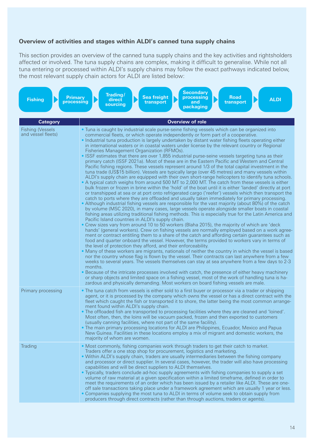## **Overview of activities and stages within ALDI's canned tuna supply chains**

This section provides an overview of the canned tuna supply chains and the key activities and rightsholders affected or involved. The tuna supply chains are complex, making it difficult to generalise. While not all tuna entering or processed within ALDI's supply chains may follow the exact pathways indicated below, the most relevant supply chain actors for ALDI are listed below:

| Primary<br><b>Fishing</b><br>processing       | <b>Secondary</b><br>Trading/<br><b>Sea freight</b><br><b>Road</b><br>processing<br><b>ALDI</b><br>direct<br>transport<br>and<br>transport<br>sourcing<br>packaging                                                                                                                                                                                                                                                                                                                                                                                                                                                                                                                                                                                                                                                                                                                                                                                                                                                                                                                                                                                                                                                                                                                                                                                                                                                                                                                                                                                                                                                                                                                                                                                                                                                                                                                                                                                                                                                                                                                                                                                                                                                                                                                                                                                                                                                                                                                                                                                                                                                                                                                                                                                                                                                                                     |
|-----------------------------------------------|--------------------------------------------------------------------------------------------------------------------------------------------------------------------------------------------------------------------------------------------------------------------------------------------------------------------------------------------------------------------------------------------------------------------------------------------------------------------------------------------------------------------------------------------------------------------------------------------------------------------------------------------------------------------------------------------------------------------------------------------------------------------------------------------------------------------------------------------------------------------------------------------------------------------------------------------------------------------------------------------------------------------------------------------------------------------------------------------------------------------------------------------------------------------------------------------------------------------------------------------------------------------------------------------------------------------------------------------------------------------------------------------------------------------------------------------------------------------------------------------------------------------------------------------------------------------------------------------------------------------------------------------------------------------------------------------------------------------------------------------------------------------------------------------------------------------------------------------------------------------------------------------------------------------------------------------------------------------------------------------------------------------------------------------------------------------------------------------------------------------------------------------------------------------------------------------------------------------------------------------------------------------------------------------------------------------------------------------------------------------------------------------------------------------------------------------------------------------------------------------------------------------------------------------------------------------------------------------------------------------------------------------------------------------------------------------------------------------------------------------------------------------------------------------------------------------------------------------------------|
| <b>Category</b>                               | <b>Overview of role</b>                                                                                                                                                                                                                                                                                                                                                                                                                                                                                                                                                                                                                                                                                                                                                                                                                                                                                                                                                                                                                                                                                                                                                                                                                                                                                                                                                                                                                                                                                                                                                                                                                                                                                                                                                                                                                                                                                                                                                                                                                                                                                                                                                                                                                                                                                                                                                                                                                                                                                                                                                                                                                                                                                                                                                                                                                                |
| <b>Fishing (Vessels</b><br>and vessel fleets) | . Tuna is caught by industrial scale purse-seine fishing vessels which can be organized into<br>commercial fleets, or which operate independently or form part of a cooperative.<br>. Industrial tuna production is largely undertaken by distant water fishing fleets operating either<br>in international waters or in coastal waters under license by the relevant country or Regional<br>Fisheries Management Organization (RFMOs).<br>· ISSF estimates that there are over 1,855 industrial purse-seine vessels targeting tuna as their<br>primary catch (ISSF 2021a). Most of these are in the Eastern Pacific and Western and Central<br>Pacific fishing regions. These vessels represent around 1/3 of the total capital investment in the<br>tuna trade (US\$15 billion). Vessels are typically large (over 45 metres) and many vessels within<br>ALDI's supply chain are equipped with their own short-range helicopters to identify tuna schools.<br>• A typical catch weighs from around 500 MT to 2,000 MT. The catch from these vessels is either<br>bulk frozen or frozen in brine within the 'hold' of the boat until it is either 'landed' directly at port<br>or transhipped at sea or at port onto refrigerated cargo ('reefer') vessels which then transport the<br>catch to ports where they are offloaded and usually taken immediately for primary processing.<br>• Although industrial fishing vessels are responsible for the vast majority (about 80%) of the catch<br>by volume (MSC 2020), in many cases, large vessels operate alongside smaller boats in coastal<br>fishing areas utilizing traditional fishing methods. This is especially true for the Latin America and<br>Pacific Island countries in ALDI's supply chain.<br>Crew sizes vary from around 10 to 50 workers (Blaha 2015), the majority of which are 'deck<br>hands' (general workers). Crew on fishing vessels are normally employed based on a work agree-<br>ment or contract entitling them to a share of the catch and affording certain guarantees such as<br>food and quarter onboard the vessel. However, the terms provided to workers vary in terms of<br>the level of protection they afford, and their enforceability.<br>. Many of these workers are migrants, nationals of neither the country in which the vessel is based<br>nor the country whose flag is flown by the vessel. Their contracts can last anywhere from a few<br>weeks to several years. The vessels themselves can stay at sea anywhere from a few days to 2-3<br>months.<br>• Because of the intricate processes involved with catch, the presence of either heavy machinery<br>or sharp objects and limited space on a fishing vessel, most of the work of handling tuna is ha-<br>zardous and physically demanding. Most workers on board fishing vessels are male. |
| Primary processing                            | • The tuna catch from vessels is either sold to a first buyer or processor via a trader or shipping<br>agent, or it is processed by the company which owns the vessel or has a direct contract with the<br>fleet which caught the fish or transported it to shore, the latter being the most common arrange-<br>ment found within ALDI's supply chain.<br>• The offloaded fish are transported to processing facilities where they are cleaned and 'loined'.<br>Most often, then, the loins will be vacuum packed, frozen and then exported to customers<br>(usually canning facilities, where not part of the same facility).<br>• The main primary processing locations for ALDI are Philippines, Ecuador, Mexico and Papua<br>New Guinea. Facilities in these locations employ a mix of migrant and domestic workers, the<br>majority of whom are women.                                                                                                                                                                                                                                                                                                                                                                                                                                                                                                                                                                                                                                                                                                                                                                                                                                                                                                                                                                                                                                                                                                                                                                                                                                                                                                                                                                                                                                                                                                                                                                                                                                                                                                                                                                                                                                                                                                                                                                                            |
| Trading                                       | . Most commonly, fishing companies work through traders to get their catch to market.<br>Traders offer a one stop shop for procurement, logistics and marketing.<br>. Within ALDI's supply chain, traders are usually intermediaries between the fishing company<br>and processor or direct supplier. In several cases, however, the trader will also have processing<br>capabilities and will be direct suppliers to ALDI themselves.<br>. Typically, traders conclude ad-hoc supply agreements with fishing companies to supply a set<br>volume of raw material at a given specification within a limited timeframe, defined in order to<br>meet the requirements of an order which has been issued by a retailer like ALDI. These are one-<br>off sale transactions taking place under a framework agreement which are usually 1 year or less.<br>Companies supplying the most tuna to ALDI in terms of volume seek to obtain supply from<br>producers through direct contracts (rather than through auctions, traders or agents).                                                                                                                                                                                                                                                                                                                                                                                                                                                                                                                                                                                                                                                                                                                                                                                                                                                                                                                                                                                                                                                                                                                                                                                                                                                                                                                                                                                                                                                                                                                                                                                                                                                                                                                                                                                                                  |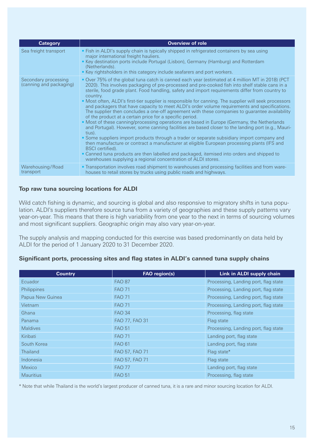| Category                                        | <b>Overview of role</b>                                                                                                                                                                                                                                                                                                                                                                                                                                                                                                                                                                                                                                                                                                                                                                                                                                                                                                                                                                                                                                                                                                                                                                                                                                                                            |
|-------------------------------------------------|----------------------------------------------------------------------------------------------------------------------------------------------------------------------------------------------------------------------------------------------------------------------------------------------------------------------------------------------------------------------------------------------------------------------------------------------------------------------------------------------------------------------------------------------------------------------------------------------------------------------------------------------------------------------------------------------------------------------------------------------------------------------------------------------------------------------------------------------------------------------------------------------------------------------------------------------------------------------------------------------------------------------------------------------------------------------------------------------------------------------------------------------------------------------------------------------------------------------------------------------------------------------------------------------------|
| Sea freight transport                           | • Fish in ALDI's supply chain is typically shipped in refrigerated containers by sea using<br>major international freight hauliers.<br>• Key destination ports include Portugal (Lisbon), Germany (Hamburg) and Rotterdam<br>(Netherlands).<br>• Key rightsholders in this category include seafarers and port workers.                                                                                                                                                                                                                                                                                                                                                                                                                                                                                                                                                                                                                                                                                                                                                                                                                                                                                                                                                                            |
| Secondary processing<br>(canning and packaging) | • Over 75% of the global tuna catch is canned each year (estimated at 4 million MT in 2018) (PCT<br>2020). This involves packaging of pre-processed and pre-cooked fish into shelf stable cans in a<br>sterile, food grade plant. Food handling, safety and import requirements differ from country to<br>country.<br>• Most often, ALDI's first-tier supplier is responsible for canning. The supplier will seek processors<br>and packagers that have capacity to meet ALDI's order volume requirements and specifications.<br>The supplier then concludes a one-off agreement with these companies to guarantee availability<br>of the product at a certain price for a specific period.<br>• Most of these canning/processing operations are based in Europe (Germany, the Netherlands<br>and Portugal). However, some canning facilities are based closer to the landing port (e.g., Mauri-<br>tius).<br>• Some suppliers import products through a trader or separate subsidiary import company and<br>then manufacture or contract a manufacturer at eligible European processing plants (IFS and<br><b>BSCI</b> certified).<br>• Canned tuna products are then labelled and packaged, itemised into orders and shipped to<br>warehouses supplying a regional concentration of ALDI stores. |
| Warehousing/Road<br>transport                   | • Transportation involves road shipment to warehouses and processing facilities and from ware-<br>houses to retail stores by trucks using public roads and highways.                                                                                                                                                                                                                                                                                                                                                                                                                                                                                                                                                                                                                                                                                                                                                                                                                                                                                                                                                                                                                                                                                                                               |

### **Top raw tuna sourcing locations for ALDI**

Wild catch fishing is dynamic, and sourcing is global and also responsive to migratory shifts in tuna population. ALDI's suppliers therefore source tuna from a variety of geographies and these supply patterns vary year-on-year. This means that there is high variability from one year to the next in terms of sourcing volumes and most significant suppliers. Geographic origin may also vary year-on-year.

The supply analysis and mapping conducted for this exercise was based predominantly on data held by ALDI for the period of 1 January 2020 to 31 December 2020.

|  |  | Significant ports, processing sites and flag states in ALDI's canned tuna supply chains |  |  |
|--|--|-----------------------------------------------------------------------------------------|--|--|
|--|--|-----------------------------------------------------------------------------------------|--|--|

| <b>Country</b>   | FAO region(s)  | Link in ALDI supply chain            |
|------------------|----------------|--------------------------------------|
| Ecuador          | <b>FAO 87</b>  | Processing, Landing port, flag state |
| Philippines      | <b>FAO 71</b>  | Processing, Landing port, flag state |
| Papua New Guinea | <b>FAO 71</b>  | Processing, Landing port, flag state |
| Vietnam          | <b>FAO 71</b>  | Processing, Landing port, flag state |
| Ghana            | <b>FAO 34</b>  | Processing, flag state               |
| Panama           | FAO 77, FAO 31 | Flag state                           |
| <b>Maldives</b>  | <b>FAO 51</b>  | Processing, Landing port, flag state |
| Kiribati         | <b>FAO 71</b>  | Landing port, flag state             |
| South Korea      | <b>FAO 61</b>  | Landing port, flag state             |
| Thailand         | FAO 57, FAO 71 | Flag state*                          |
| Indonesia        | FAO 57, FAO 71 | Flag state                           |
| <b>Mexico</b>    | <b>FAO 77</b>  | Landing port, flag state             |
| <b>Mauritius</b> | <b>FAO 51</b>  | Processing, flag state               |

\* Note that while Thailand is the world's largest producer of canned tuna, it is a rare and minor sourcing location for ALDI.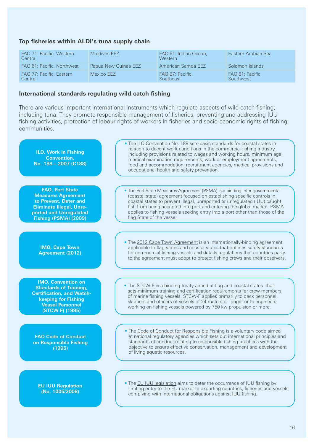## **Top fisheries within ALDI's tuna supply chain**

| FAO 71: Pacific, Western<br>Central | Maldives EEZ         | FAO 51: Indian Ocean,<br><b>Western</b> | Eastern Arabian Sea           |
|-------------------------------------|----------------------|-----------------------------------------|-------------------------------|
| FAO 61: Pacific, Northwest          | Papua New Guinea EEZ | American Samoa EEZ                      | Solomon Islands               |
| FAO 77: Pacific, Eastern<br>Central | Mexico EEZ           | FAO 87: Pacific,<br>Southeast           | FAO 81: Pacific.<br>Southwest |

#### **International standards regulating wild catch fishing**

There are various important international instruments which regulate aspects of wild catch fishing, including tuna. They promote responsible management of fisheries, preventing and addressing IUU fishing activities, protection of labour rights of workers in fisheries and socio-economic rights of fishing communities.

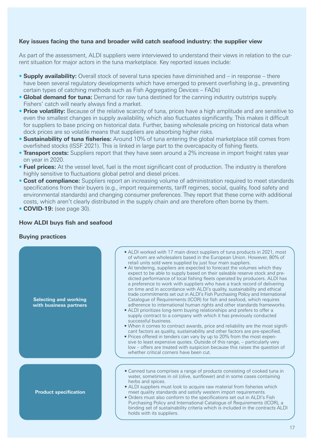#### **Key issues facing the tuna and broader wild catch seafood industry: the supplier view**

As part of the assessment, ALDI suppliers were interviewed to understand their views in relation to the current situation for major actors in the tuna marketplace. Key reported issues include:

- **Supply availability:** Overall stock of several tuna species have diminished and in response there have been several regulatory developments which have emerged to prevent overfishing (e.g., preventing certain types of catching methods such as Fish Aggregating Devices – FADs)
- **Global demand for tuna:** Demand for raw tuna destined for the canning industry outstrips supply. Fishers' catch will nearly always find a market.
- **Price volatility:** Because of the relative scarcity of tuna, prices have a high amplitude and are sensitive to even the smallest changes in supply availability, which also fluctuates significantly. This makes it difficult for suppliers to base pricing on historical data. Further, basing wholesale pricing on historical data when dock prices are so volatile means that suppliers are absorbing higher risks.
- **Sustainability of tuna fisheries:** Around 10% of tuna entering the global marketplace still comes from overfished stocks (ISSF 2021). This is linked in large part to the overcapacity of fishing fleets.
- **Transport costs:** Suppliers report that they have seen around a 2% increase in import freight rates year on year in 2020.
- **Fuel prices:** At the vessel level, fuel is the most significant cost of production. The industry is therefore highly sensitive to fluctuations global petrol and diesel prices.
- **Cost of compliance:** Suppliers report an increasing volume of administration required to meet standards specifications from their buyers (e.g., import requirements, tariff regimes, social, quality, food safety and environmental standards) and changing consumer preferences. They report that these come with additional costs, which aren't clearly distributed in the supply chain and are therefore often borne by them.
- **COVID-19:** (see page 30).

#### **How ALDI buys fish and seafood**

#### **Buying practices**

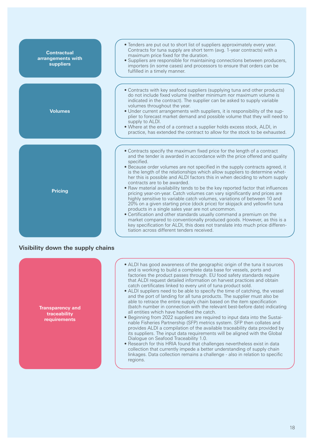

#### **Visibility down the supply chains**

**Transparency and traceability requirements**

- ALDI has good awareness of the geographic origin of the tuna it sources and is working to build a complete data base for vessels, ports and factories the product passes through. EU food safety standards require that ALDI request detailed information on harvest practices and obtain catch certificates linked to every unit of tuna product sold.
- ALDI suppliers need to be able to specify the time of catching, the vessel and the port of landing for all tuna products. The supplier must also be able to retrace the entire supply chain based on the item specification (batch number in connection with the relevant best-before date) indicating all entities which have handled the catch.
- Beginning from 2022 suppliers are required to input data into the Sustainable Fisheries Partnership (SFP) metrics system. SFP then collates and provides ALDI a compilation of the available traceability data provided by its suppliers. The input data requirements will be aligned with the Global Dialogue on Seafood Traceability 1.0.
- Research for this HRIA found that challenges nevertheless exist in data collection that currently impede a better understanding of supply chain linkages. Data collection remains a challenge - also in relation to specific regions.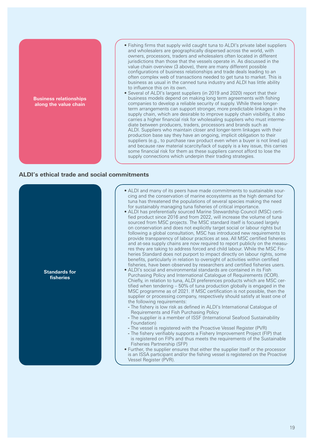#### **Business relationships along the value chain**

- Fishing firms that supply wild caught tuna to ALDI's private label suppliers and wholesalers are geographically dispersed across the world, with owners, processors, traders and wholesalers often located in different jurisdictions than those that the vessels operate in. As discussed in the value chain overview (3 above), there are many different possible configurations of business relationships and trade deals leading to an often complex web of transactions needed to get tuna to market. This is business as usual in the canned tuna industry and ALDI has little ability to influence this on its own.
- Several of ALDI's largest suppliers (in 2019 and 2020) report that their business models depend on making long term agreements with fishing companies to develop a reliable security of supply. While these longerterm arrangements can support stronger, more predictable linkages in the supply chain, which are desirable to improve supply chain visibility, it also carries a higher financial risk for wholesaling suppliers who must intermediate between producers, traders, processors and brands such as ALDI. Suppliers who maintain closer and longer-term linkages with their production base say they have an ongoing, implicit obligation to their suppliers (e.g., to purchase raw product even when a buyer is not lined up) and because raw material scarcity/lack of supply is a key issue, this carries some financial risk for them as these suppliers cannot afford to lose the supply connections which underpin their trading strategies.

#### **ALDI's ethical trade and social commitments**

| <b>Standards for</b><br>fisheries | . ALDI and many of its peers have made commitments to sustainable sour-<br>cing and the conservation of marine ecosystems as the high demand for<br>tuna has threatened the populations of several species making the need<br>for sustainably managing tuna fisheries of critical importance.<br>• ALDI has preferentially sourced Marine Stewardship Council (MSC) certi-<br>fied product since 2016 and from 2022, will increase the volume of tuna<br>sourced from MSC projects. The MSC standard itself is focused largely<br>on conservation and does not explicitly target social or labour rights but<br>following a global consultation, MSC has introduced new requirements to<br>provide transparency of labour practices at sea. All MSC certified fisheries<br>and at-sea supply chains are now required to report publicly on the measu-<br>res they are taking to address forced and child labour. While the MSC Fis-<br>heries Standard does not purport to impact directly on labour rights, some<br>benefits, particularly in relation to oversight of activities within certified<br>fisheries, have been observed by researchers and certified fisheries users.<br>• ALDI's social and environmental standards are contained in its Fish<br>Purchasing Policy and International Catalogue of Requirements (ICOR).<br>Chiefly, in relation to tuna, ALDI preferences products which are MSC cer-<br>tified when tendering - 50% of tuna production globally is engaged in the<br>MSC programme as of 2021. If MSC certification is not possible, then the<br>supplier or processing company, respectively should satisfy at least one of<br>the following requirements:<br>- The fishery is low risk as defined in ALDI's International Catalogue of<br>Requirements and Fish Purchasing Policy<br>- The supplier is a member of ISSF (International Seafood Sustainability<br>Foundation)<br>- The vessel is registered with the Proactive Vessel Register (PVR)<br>- The fishery verifiably supports a Fishery Improvement Project (FIP) that<br>is registered on FIPs and thus meets the requirements of the Sustainable<br>Fisheries Partnership (SFP)<br>• Further, the supplier ensures that either the supplier itself or the processor<br>is an ISSA participant and/or the fishing vessel is registered on the Proactive<br>Vessel Register (PVR). |
|-----------------------------------|-------------------------------------------------------------------------------------------------------------------------------------------------------------------------------------------------------------------------------------------------------------------------------------------------------------------------------------------------------------------------------------------------------------------------------------------------------------------------------------------------------------------------------------------------------------------------------------------------------------------------------------------------------------------------------------------------------------------------------------------------------------------------------------------------------------------------------------------------------------------------------------------------------------------------------------------------------------------------------------------------------------------------------------------------------------------------------------------------------------------------------------------------------------------------------------------------------------------------------------------------------------------------------------------------------------------------------------------------------------------------------------------------------------------------------------------------------------------------------------------------------------------------------------------------------------------------------------------------------------------------------------------------------------------------------------------------------------------------------------------------------------------------------------------------------------------------------------------------------------------------------------------------------------------------------------------------------------------------------------------------------------------------------------------------------------------------------------------------------------------------------------------------------------------------------------------------------------------------------------------------------------------------------------------------------------------------------------------------------------------------------|
|-----------------------------------|-------------------------------------------------------------------------------------------------------------------------------------------------------------------------------------------------------------------------------------------------------------------------------------------------------------------------------------------------------------------------------------------------------------------------------------------------------------------------------------------------------------------------------------------------------------------------------------------------------------------------------------------------------------------------------------------------------------------------------------------------------------------------------------------------------------------------------------------------------------------------------------------------------------------------------------------------------------------------------------------------------------------------------------------------------------------------------------------------------------------------------------------------------------------------------------------------------------------------------------------------------------------------------------------------------------------------------------------------------------------------------------------------------------------------------------------------------------------------------------------------------------------------------------------------------------------------------------------------------------------------------------------------------------------------------------------------------------------------------------------------------------------------------------------------------------------------------------------------------------------------------------------------------------------------------------------------------------------------------------------------------------------------------------------------------------------------------------------------------------------------------------------------------------------------------------------------------------------------------------------------------------------------------------------------------------------------------------------------------------------------------|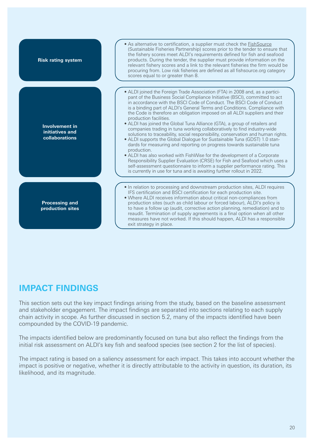

# **IMPACT FINDINGS**

This section sets out the key impact findings arising from the study, based on the baseline assessment and stakeholder engagement. The impact findings are separated into sections relating to each supply chain activity in scope. As further discussed in section 5.2, many of the impacts identified have been compounded by the COVID-19 pandemic.

The impacts identified below are predominantly focused on tuna but also reflect the findings from the initial risk assessment on ALDI's key fish and seafood species (see section 2 for the list of species).

The impact rating is based on a saliency assessment for each impact. This takes into account whether the impact is positive or negative, whether it is directly attributable to the activity in question, its duration, its likelihood, and its magnitude.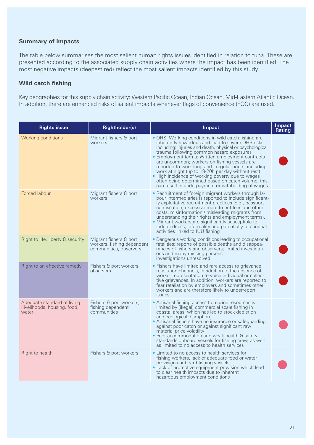### **Summary of impacts**

The table below summarises the most salient human rights issues identified in relation to tuna. These are presented according to the associated supply chain activities where the impact has been identified. The most negative impacts (deepest red) reflect the most salient impacts identified by this study.

### **Wild catch fishing**

Key geographies for this supply chain activity: Western Pacific Ocean, Indian Ocean, Mid-Eastern Atlantic Ocean. In addition, there are enhanced risks of salient impacts whenever flags of convenience (FOC) are used.

| <b>Rights issue</b>                                                   | <b>Rightholder(s)</b>                                                          | Impact                                                                                                                                                                                                                                                                                                                                                                                                                                                                                                                                                                                             | <b>Impact</b><br>Rating |
|-----------------------------------------------------------------------|--------------------------------------------------------------------------------|----------------------------------------------------------------------------------------------------------------------------------------------------------------------------------------------------------------------------------------------------------------------------------------------------------------------------------------------------------------------------------------------------------------------------------------------------------------------------------------------------------------------------------------------------------------------------------------------------|-------------------------|
| Working conditions                                                    | Migrant fishers & port<br>workers                                              | • OHS: Working conditions in wild catch fishing are<br>inherently hazardous and lead to severe OHS risks,<br>including: injuries and death, physical or psychological<br>trauma following common hazard exposures<br>• Employment terms: Written employment contracts<br>are uncommon; workers on fishing vessels are<br>reported to work long and irregular hours, including<br>work at night (up to 18-20h per day without rest)<br>• High incidence of working poverty due to wages<br>often being determined based on catch volume; this<br>can result in underpayment or withholding of wages |                         |
| Forced labour                                                         | Migrant fishers & port<br>workers                                              | • Recruitment of foreign migrant workers through la-<br>bour intermediaries is reported to include significant-<br>ly exploitative recruitment practices (e.g., passport<br>confiscation, excessive recruitment fees and other<br>costs, misinformation / misleading migrants from<br>understanding their rights and employment terms).<br>• Migrant workers are significantly susceptible to<br>indebtedness, informality and potentially to criminal<br>activities linked to IUU fishing                                                                                                         |                         |
| Right to life, liberty & security                                     | Migrant fishers & port<br>workers, fishing dependent<br>communities, observers | • Dangerous working conditions leading to occupational<br>fatalities; reports of possible deaths and disappea-<br>rances of fishers and observers; limited investigati-<br>ons and many missing persons<br>investigations unresolved                                                                                                                                                                                                                                                                                                                                                               |                         |
| Right to an effective remedy                                          | Fishers & port workers,<br>observers                                           | • Fishers have limited and rare access to grievance<br>resolution channels, in addition to the absence of<br>worker representation to voice individual or collec-<br>tive grievances. In addition, workers are reported to<br>fear retaliation by employers and sometimes other<br>workers and are therefore likely to underreport<br><i>issues</i>                                                                                                                                                                                                                                                |                         |
| Adequate standard of living<br>(livelihoods, housing, food,<br>water) | Fishers & port workers,<br>fishing dependent<br>communities                    | • Artisanal fishing access to marine resources is<br>limited by (illegal) commercial scale fishing in<br>coastal areas, which has led to stock depletion<br>and ecological disruption<br>• Artisanal fishers have no insurance or safeguarding<br>against poor catch or against significant raw<br>material price volatility<br>• Poor accommodation and weak health & safety<br>standards onboard vessels for fishing crew, as well<br>as limited to no access to health services                                                                                                                 |                         |
| Right to health                                                       | Fishers & port workers                                                         | • Limited to no access to health services for<br>fishing workers, lack of adequate food or water<br>provisions onboard fishing vessels<br>• Lack of protective equipment provision which lead<br>to clear health impacts due to inherent<br>hazardous employment conditions                                                                                                                                                                                                                                                                                                                        |                         |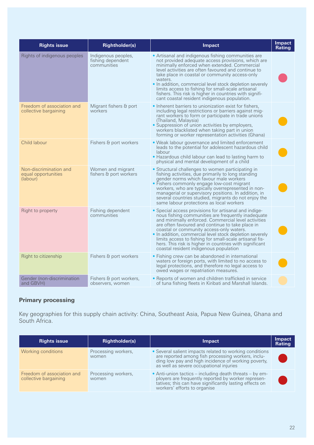| <b>Rights issue</b>                                       | <b>Rightholder(s)</b>                                   | Impact                                                                                                                                                                                                                                                                                                                                                                                                                                                                                                    | <b>Impact</b><br>Rating |
|-----------------------------------------------------------|---------------------------------------------------------|-----------------------------------------------------------------------------------------------------------------------------------------------------------------------------------------------------------------------------------------------------------------------------------------------------------------------------------------------------------------------------------------------------------------------------------------------------------------------------------------------------------|-------------------------|
| Rights of indigenous peoples                              | Indigenous peoples,<br>fishing dependent<br>communities | • Artisanal and indigenous fishing communities are<br>not provided adequate access provisions, which are<br>minimally enforced when extended. Commercial<br>level activities are often favoured and continue to<br>take place in coastal or community access-only<br>waters.<br>• In addition, commercial level stock depletion severely<br>limits access to fishing for small-scale artisanal<br>fishers. This risk is higher in countries with signifi-<br>cant coastal resident indigenous population. |                         |
| Freedom of association and<br>collective bargaining       | Migrant fishers & port<br>workers                       | • Inherent barriers to unionization exist for fishers,<br>including legal restrictions or barriers against mig-<br>rant workers to form or participate in trade unions<br>(Thailand, Malaysia)<br>• Suppression of union activities by employers,<br>workers blacklisted when taking part in union<br>forming or worker representation activities (Ghana)                                                                                                                                                 |                         |
| Child labour                                              | Fishers & port workers                                  | . Weak labour governance and limited enforcement<br>leads to the potential for adolescent hazardous child<br>labour<br>• Hazardous child labour can lead to lasting harm to<br>physical and mental development of a child                                                                                                                                                                                                                                                                                 |                         |
| Non-discrimination and<br>equal opportunities<br>(labour) | Women and migrant<br>fishers & port workers             | • Structural challenges to women participating in<br>fishing activities, due primarily to long standing<br>gender norms which favour male workers<br>• Fishers commonly engage low-cost migrant<br>workers, who are typically overrepresented in non-<br>managerial or supervisory positions. In addition, in<br>several countries studied, migrants do not enjoy the<br>same labour protections as local workers                                                                                         |                         |
| Right to property                                         | Fishing dependent<br>communities                        | • Special access provisions for artisanal and indige-<br>nous fishing communities are frequently inadequate<br>and minimally enforced. Commercial level activities<br>are often favoured and continue to take place in<br>coastal or community access-only waters.<br>• In addition, commercial level stock depletion severely<br>limits access to fishing for small-scale artisanal fis-<br>hers. This risk is higher in countries with significant<br>coastal resident indigenous population            |                         |
| Right to citizenship                                      | Fishers & port workers                                  | • Fishing crew can be abandoned in international<br>waters or foreign ports, with limited to no access to<br>legal protections, and therefore no legal access to<br>owed wages or repatriation measures.                                                                                                                                                                                                                                                                                                  |                         |
| Gender (non-discrimination<br>and GBVH)                   | Fishers & port workers,<br>observers, women             | • Reports of women and children trafficked in service<br>of tuna fishing fleets in Kiribati and Marshall Islands.                                                                                                                                                                                                                                                                                                                                                                                         |                         |

# **Primary processing**

Key geographies for this supply chain activity: China, Southeast Asia, Papua New Guinea, Ghana and South Africa.

| <b>Rights issue</b>                                 | <b>Rightholder(s)</b>        | Impact                                                                                                                                                                                                          | Impact<br>Rating |
|-----------------------------------------------------|------------------------------|-----------------------------------------------------------------------------------------------------------------------------------------------------------------------------------------------------------------|------------------|
| Working conditions                                  | Processing workers,<br>women | • Several salient impacts related to working conditions<br>are reported among fish processing workers, inclu-<br>ding low pay and high incidence of working poverty,<br>as well as severe occupational injuries |                  |
| Freedom of association and<br>collective bargaining | Processing workers,<br>women | • Anti-union tactics – including death threats – by em-<br>ployers are frequently reported by worker represen-<br>tatives; this can have significantly lasting effects on<br>workers' efforts to organise       |                  |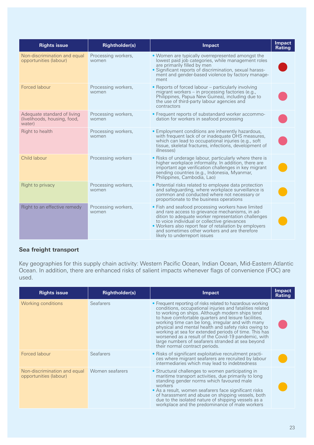| <b>Rights issue</b>                                                   | <b>Rightholder(s)</b>        | Impact                                                                                                                                                                                                                                                                                                                                                  | <b>Impact</b><br><b>Rating</b> |
|-----------------------------------------------------------------------|------------------------------|---------------------------------------------------------------------------------------------------------------------------------------------------------------------------------------------------------------------------------------------------------------------------------------------------------------------------------------------------------|--------------------------------|
| Non-discrimination and equal<br>opportunities (labour)                | Processing workers,<br>women | • Women are typically overrepresented amongst the<br>lowest paid job categories, while management roles<br>are primarily filled by men<br>• Significant reports of discrimination, sexual harass-<br>ment and gender-based violence by factory manage-<br>ment                                                                                          |                                |
| Forced labour                                                         | Processing workers,<br>women | • Reports of forced labour – particularly involving<br>migrant workers – in processing factories (e.g.,<br>Philippines, Papua New Guinea), including due to<br>the use of third-party labour agencies and<br>contractors                                                                                                                                |                                |
| Adequate standard of living<br>(livelihoods, housing, food,<br>water) | Processing workers,<br>women | • Frequent reports of substandard worker accommo-<br>dation for workers in seafood processing                                                                                                                                                                                                                                                           |                                |
| Right to health                                                       | Processing workers,<br>women | • Employment conditions are inherently hazardous,<br>with frequent lack of or inadequate OHS measures,<br>which can lead to occupational injuries (e.g., soft<br>tissue, skeletal fractures, infections, development of<br>illnesses)                                                                                                                   |                                |
| Child labour                                                          | Processing workers           | . Risks of underage labour, particularly where there is<br>higher workplace informality. In addition, there are<br>important age verification challenges in key migrant<br>sending countries (e.g., Indonesia, Myanmar,<br>Philippines, Cambodia, Lao)                                                                                                  |                                |
| Right to privacy                                                      | Processing workers,<br>women | • Potential risks related to employee data protection<br>and safeguarding, where workplace surveillance is<br>common and conducted where not necessary or<br>proportionate to the business operations                                                                                                                                                   |                                |
| Right to an effective remedy                                          | Processing workers,<br>women | • Fish and seafood processing workers have limited<br>and rare access to grievance mechanisms, in ad-<br>dition to adequate worker representation challenges<br>to voice individual or collective grievances<br>• Workers also report fear of retaliation by employers<br>and sometimes other workers and are therefore<br>likely to underreport issues |                                |

# **Sea freight transport**

Key geographies for this supply chain activity: Western Pacific Ocean, Indian Ocean, Mid-Eastern Atlantic Ocean. In addition, there are enhanced risks of salient impacts whenever flags of convenience (FOC) are used.

| <b>Rights issue</b>                                    | <b>Rightholder(s)</b> | <b>Impact</b>                                                                                                                                                                                                                                                                                                                                                                                                                                                                                                                                         | <b>Impact</b><br><b>Rating</b> |
|--------------------------------------------------------|-----------------------|-------------------------------------------------------------------------------------------------------------------------------------------------------------------------------------------------------------------------------------------------------------------------------------------------------------------------------------------------------------------------------------------------------------------------------------------------------------------------------------------------------------------------------------------------------|--------------------------------|
| Working conditions                                     | <b>Seafarers</b>      | • Frequent reporting of risks related to hazardous working<br>conditions, occupational injuries and fatalities related<br>to working on ships. Although modern ships tend<br>to have comfortable quarters and leisure facilities,<br>working time can be long, irregular and with many<br>physical and mental health and safety risks owing to<br>working at sea for extended periods of time. This has<br>worsened as a result of the Covid-19 pandemic, with<br>large numbers of seafarers stranded at sea beyond<br>their normal contract periods. |                                |
| Forced labour                                          | Seafarers             | • Risks of significant exploitative recruitment practi-<br>ces where migrant seafarers are recruited by labour<br>intermediaries which may lead to indebtedness                                                                                                                                                                                                                                                                                                                                                                                       |                                |
| Non-discrimination and equal<br>opportunities (labour) | Women seafarers       | • Structural challenges to women participating in<br>maritime transport activities, due primarily to long<br>standing gender norms which favoured male<br>workers<br>· As a result, women seafarers face significant risks<br>of harassment and abuse on shipping vessels, both<br>due to the isolated nature of shipping vessels as a<br>workplace and the predominance of male workers                                                                                                                                                              |                                |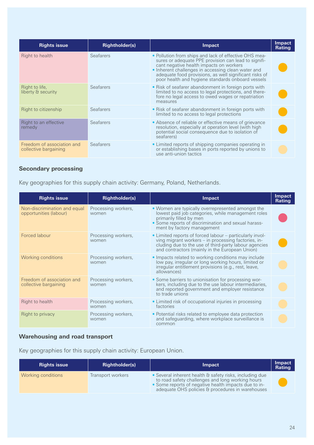| <b>Rights issue</b>                                 | <b>Rightholder(s)</b> | <b>Impact</b>                                                                                                                                                                                                                                                                                                                 | Impact<br><b>Rating</b> |
|-----------------------------------------------------|-----------------------|-------------------------------------------------------------------------------------------------------------------------------------------------------------------------------------------------------------------------------------------------------------------------------------------------------------------------------|-------------------------|
| Right to health                                     | <b>Seafarers</b>      | • Pollution from ships and lack of effective OHS mea-<br>sures or adequate PPE provision can lead to signifi-<br>cant negative health impacts on workers<br>. Inherent challenges in accessing clean water and<br>adequate food provisions, as well significant risks of<br>poor health and hygiene standards onboard vessels |                         |
| Right to life,<br>liberty & security                | <b>Seafarers</b>      | • Risk of seafarer abandonment in foreign ports with<br>limited to no access to legal protections, and there-<br>fore no legal access to owed wages or repatriation<br>measures                                                                                                                                               |                         |
| Right to citizenship                                | <b>Seafarers</b>      | • Risk of seafarer abandonment in foreign ports with<br>limited to no access to legal protections                                                                                                                                                                                                                             |                         |
| Right to an effective<br>remedy                     | <b>Seafarers</b>      | • Absence of reliable or effective means of grievance<br>resolution, especially at operation level (with high<br>potential social consequence due to isolation of<br>seafarers)                                                                                                                                               |                         |
| Freedom of association and<br>collective bargaining | <b>Seafarers</b>      | • Limited reports of shipping companies operating in<br>or establishing bases in ports reported by unions to<br>use anti-union tactics                                                                                                                                                                                        |                         |

# **Secondary processing**

Key geographies for this supply chain activity: Germany, Poland, Netherlands.

| <b>Rights issue</b>                                    | <b>Rightholder(s)</b>        | <b>Impact</b>                                                                                                                                                                                                           | <b>Impact</b><br><b>Rating</b> |
|--------------------------------------------------------|------------------------------|-------------------------------------------------------------------------------------------------------------------------------------------------------------------------------------------------------------------------|--------------------------------|
| Non-discrimination and equal<br>opportunities (labour) | Processing workers,<br>women | • Women are typically overrepresented amongst the<br>lowest paid job categories, while management roles<br>primarily filled by men<br>• Some reports of discrimination and sexual harass-<br>ment by factory management |                                |
| Forced labour                                          | Processing workers,<br>women | • Limited reports of forced labour – particularly involving migrant workers – in processing factories, in-<br>cluding due to the use of third-party labour agencies<br>and contractors (mainly in the European Union)   |                                |
| <b>Working conditions</b>                              | Processing workers,<br>women | • Impacts related to working conditions may include<br>low pay, irregular or long working hours, limited or<br>irregular entitlement provisions (e.g., rest, leave,<br>allowances)                                      |                                |
| Freedom of association and<br>collective bargaining    | Processing workers,<br>women | • Some barriers to unionisation for processing wor-<br>kers, including due to the use labour intermediaries,<br>and reported government and employer resistance<br>to trade unions                                      |                                |
| Right to health                                        | Processing workers,<br>women | • Limited risk of occupational injuries in processing<br>factories                                                                                                                                                      |                                |
| Right to privacy                                       | Processing workers,<br>women | • Potential risks related to employee data protection<br>and safeguarding, where workplace surveillance is<br>common                                                                                                    |                                |

# **Warehousing and road transport**

Key geographies for this supply chain activity: European Union.

| <b>Rights issue</b>       | <b>Rightholder(s)</b> | Impact                                                                                                                                                                                                                  | <b>Impact</b><br>Rating |
|---------------------------|-----------------------|-------------------------------------------------------------------------------------------------------------------------------------------------------------------------------------------------------------------------|-------------------------|
| <b>Working conditions</b> | Transport workers     | • Several inherent health & safety risks, including due<br>to road safety challenges and long working hours<br>• Some reports of negative health impacts due to in-<br>adequate OHS policies & procedures in warehouses |                         |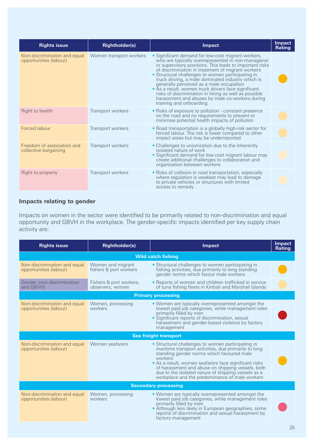| <b>Rights issue</b>                                    | <b>Rightholder(s)</b>   | <b>Impact</b>                                                                                                                                                                                                                                                                                                                                                                                                                                                                                                                                                                 | <b>Impact</b><br><b>Rating</b> |
|--------------------------------------------------------|-------------------------|-------------------------------------------------------------------------------------------------------------------------------------------------------------------------------------------------------------------------------------------------------------------------------------------------------------------------------------------------------------------------------------------------------------------------------------------------------------------------------------------------------------------------------------------------------------------------------|--------------------------------|
| Non-discrimination and equal<br>opportunities (labour) | Women transport workers | • Significant demand for low-cost migrant workers,<br>who are typically overrepresented in non-managerial<br>or supervisory positions. This leads to important risks<br>of discrimination in treatment of migrant workers<br>• Structural challenges to women participating in<br>truck driving, a male dominated industry which is<br>generally perceived as a male occupation<br>• As a result, women truck drivers face significant<br>risks of discrimination in hiring as well as possible<br>harassment and abuses by male co-workers during<br>training and onboarding |                                |
| Right to health                                        | Transport workers       | • Risks of exposure to pollution - constant presence<br>on the road and no requirements to prevent or<br>minimise potential health impacts of pollution                                                                                                                                                                                                                                                                                                                                                                                                                       |                                |
| Forced labour                                          | Transport workers       | • Road transportation is a globally high-risk sector for<br>forced labour. The risk is lower compared to other<br>impact areas but may be underreported                                                                                                                                                                                                                                                                                                                                                                                                                       |                                |
| Freedom of association and<br>collective bargaining    | Transport workers       | • Challenges to unionization due to the inherently<br>isolated nature of work<br>• Significant demand for low-cost migrant labour may<br>create additional challenges to collaboration and<br>organisation between workers                                                                                                                                                                                                                                                                                                                                                    |                                |
| Right to property                                      | Transport workers       | • Risks of collision in road transportation, especially<br>where regulation is weakest may lead to damage<br>to private vehicles or structures with limited<br>access to remedy                                                                                                                                                                                                                                                                                                                                                                                               |                                |

# **Impacts relating to gender**

Impacts on women in the sector were identified to be primarily related to non-discrimination and equal opportunity and GBVH in the workplace. The gender-specific impacts identified per key supply chain activity are:

| <b>Rights issue</b>                                    | <b>Rightholder(s)</b>                       | <b>Impact</b>                                                                                                                                                                                                                                                                                                                                                                            | <b>Impact</b><br>Rating |
|--------------------------------------------------------|---------------------------------------------|------------------------------------------------------------------------------------------------------------------------------------------------------------------------------------------------------------------------------------------------------------------------------------------------------------------------------------------------------------------------------------------|-------------------------|
|                                                        |                                             | <b>Wild catch fishing</b>                                                                                                                                                                                                                                                                                                                                                                |                         |
| Non-discrimination and equal<br>opportunities (labour) | Women and migrant<br>fishers & port workers | • Structural challenges to women participating in<br>fishing activities, due primarily to long standing<br>gender norms which favour male workers                                                                                                                                                                                                                                        |                         |
| Gender (non-discrimination<br>and GBVH)                | Fishers & port workers,<br>observers, women | • Reports of women and children trafficked in service<br>of tuna fishing fleets in Kiribati and Marshall Islands                                                                                                                                                                                                                                                                         |                         |
|                                                        |                                             | <b>Primary processing</b>                                                                                                                                                                                                                                                                                                                                                                |                         |
| Non-discrimination and equal<br>opportunities (labour) | Women, processing<br>workers                | • Women are typically overrepresented amongst the<br>lowest paid job categories, while management roles<br>primarily filled by men<br>• Significant reports of discrimination, sexual<br>harassment and gender-based violence by factory<br>management                                                                                                                                   |                         |
|                                                        |                                             | Sea freight transport                                                                                                                                                                                                                                                                                                                                                                    |                         |
| Non-discrimination and equal<br>opportunities (labour) | Women seafarers                             | · Structural challenges to women participating in<br>maritime transport activities, due primarily to long<br>standing gender norms which favoured male<br>workers<br>· As a result, women seafarers face significant risks<br>of harassment and abuse on shipping vessels, both<br>due to the isolated nature of shipping vessels as a<br>workplace and the predominance of male workers |                         |
| <b>Secondary processing</b>                            |                                             |                                                                                                                                                                                                                                                                                                                                                                                          |                         |
| Non-discrimination and equal<br>opportunities (labour) | Women, processing<br>workers                | • Women are typically overrepresented amongst the<br>lowest paid job categories, while management roles<br>primarily filled by men<br>· Although less likely in European geographies, some<br>reports of discrimination and sexual harassment by<br>factory management                                                                                                                   |                         |
|                                                        |                                             |                                                                                                                                                                                                                                                                                                                                                                                          | 25                      |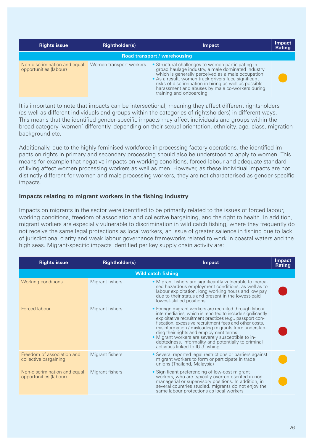| <b>Rights issue</b>                                    | <b>Rightholder(s)</b>   | <b>Impact</b>                                                                                                                                                                                                                                                                                                                                             | Impact<br><b>Rating</b> |
|--------------------------------------------------------|-------------------------|-----------------------------------------------------------------------------------------------------------------------------------------------------------------------------------------------------------------------------------------------------------------------------------------------------------------------------------------------------------|-------------------------|
|                                                        |                         | Road transport / warehousing                                                                                                                                                                                                                                                                                                                              |                         |
| Non-discrimination and equal<br>opportunities (labour) | Women transport workers | • Structural challenges to women participating in<br>groad haulage industry, a male dominated industry<br>which is generally perceived as a male occupation<br>• As a result, women truck drivers face significant<br>risks of discrimination in hiring as well as possible<br>harassment and abuses by male co-workers during<br>training and onboarding |                         |

It is important to note that impacts can be intersectional, meaning they affect different rightsholders (as well as different individuals and groups within the categories of rightsholders) in different ways. This means that the identified gender-specific impacts may affect individuals and groups within the broad category 'women' differently, depending on their sexual orientation, ethnicity, age, class, migration background etc.

Additionally, due to the highly feminised workforce in processing factory operations, the identified impacts on rights in primary and secondary processing should also be understood to apply to women. This means for example that negative impacts on working conditions, forced labour and adequate standard of living affect women processing workers as well as men. However, as these individual impacts are not distinctly different for women and male processing workers, they are not characterised as gender-specific impacts.

### **Impacts relating to migrant workers in the fishing industry**

Impacts on migrants in the sector were identified to be primarily related to the issues of forced labour, working conditions, freedom of association and collective bargaining, and the right to health. In addition, migrant workers are especially vulnerable to discrimination in wild catch fishing, where they frequently do not receive the same legal protections as local workers, an issue of greater salience in fishing due to lack of jurisdictional clarity and weak labour governance frameworks related to work in coastal waters and the high seas. Migrant-specific impacts identified per key supply chain activity are:

| <b>Rights issue</b>                                    | <b>Rightholder(s)</b> | Impact                                                                                                                                                                                                                                                                                                                                                                                                                                                                                      | <b>Impact</b><br><b>Rating</b> |
|--------------------------------------------------------|-----------------------|---------------------------------------------------------------------------------------------------------------------------------------------------------------------------------------------------------------------------------------------------------------------------------------------------------------------------------------------------------------------------------------------------------------------------------------------------------------------------------------------|--------------------------------|
|                                                        |                       | <b>Wild catch fishing</b>                                                                                                                                                                                                                                                                                                                                                                                                                                                                   |                                |
| Working conditions                                     | Migrant fishers       | • Migrant fishers are significantly vulnerable to increa-<br>sed hazardous employment conditions, as well as to<br>labour exploitation, long working hours and low pay<br>due to their status and present in the lowest-paid<br>lowest-skilled positions                                                                                                                                                                                                                                    |                                |
| Forced labour                                          | Migrant fishers       | · Foreign migrant workers are recruited through labour<br>intermediaries, which is reported to include significantly<br>exploitative recruitment practices (e.g., passport con-<br>fiscation, excessive recruitment fees and other costs,<br>misinformation / misleading migrants from understan-<br>ding their rights and employment terms<br>• Migrant workers are severely susceptible to in-<br>debtedness, informality and potentially to criminal<br>activities linked to IUU fishing |                                |
| Freedom of association and<br>collective bargaining    | Migrant fishers       | • Several reported legal restrictions or barriers against<br>migrant workers to form or participate in trade<br>unions (Thailand, Malaysia)                                                                                                                                                                                                                                                                                                                                                 |                                |
| Non-discrimination and equal<br>opportunities (labour) | Migrant fishers       | • Significant preferencing of low-cost migrant<br>workers, who are typically overrepresented in non-<br>managerial or supervisory positions. In addition, in<br>several countries studied, migrants do not enjoy the<br>same labour protections as local workers                                                                                                                                                                                                                            |                                |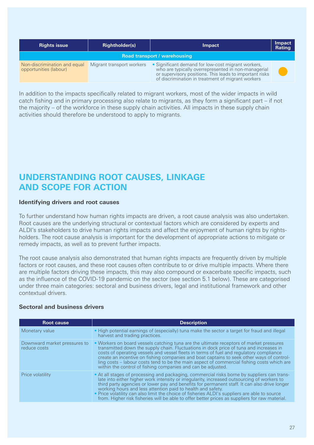| <b>Rights issue</b>                                    | <b>Rightholder(s)</b>     | <b>Impact</b>                                                                                                                                                                                                             | /Impact<br><b>Rating</b> |
|--------------------------------------------------------|---------------------------|---------------------------------------------------------------------------------------------------------------------------------------------------------------------------------------------------------------------------|--------------------------|
| Road transport / warehousing                           |                           |                                                                                                                                                                                                                           |                          |
| Non-discrimination and equal<br>opportunities (labour) | Migrant transport workers | • Significant demand for low-cost migrant workers,<br>who are typically overrepresented in non-managerial<br>or supervisory positions. This leads to important risks<br>of discrimination in treatment of migrant workers |                          |

In addition to the impacts specifically related to migrant workers, most of the wider impacts in wild catch fishing and in primary processing also relate to migrants, as they form a significant part – if not the majority – of the workforce in these supply chain activities. All impacts in these supply chain activities should therefore be understood to apply to migrants.

# **UNDERSTANDING ROOT CAUSES, LINKAGE AND SCOPE FOR ACTION**

### **Identifying drivers and root causes**

To further understand how human rights impacts are driven, a root cause analysis was also undertaken. Root causes are the underlying structural or contextual factors which are considered by experts and ALDI's stakeholders to drive human rights impacts and affect the enjoyment of human rights by rightsholders. The root cause analysis is important for the development of appropriate actions to mitigate or remedy impacts, as well as to prevent further impacts.

The root cause analysis also demonstrated that human rights impacts are frequently driven by multiple factors or root causes, and these root causes often contribute to or drive multiple impacts. Where there are multiple factors driving these impacts, this may also compound or exacerbate specific impacts, such as the influence of the COVID-19 pandemic on the sector (see section 5.1 below). These are categorised under three main categories: sectoral and business drivers, legal and institutional framework and other contextual drivers.

#### **Sectoral and business drivers**

| <b>Root cause</b>                            | <b>Description</b>                                                                                                                                                                                                                                                                                                                                                                                                                                                                                                                                           |
|----------------------------------------------|--------------------------------------------------------------------------------------------------------------------------------------------------------------------------------------------------------------------------------------------------------------------------------------------------------------------------------------------------------------------------------------------------------------------------------------------------------------------------------------------------------------------------------------------------------------|
| Monetary value                               | • High potential earnings of (especially) tuna make the sector a target for fraud and illegal<br>harvest and trading practices.                                                                                                                                                                                                                                                                                                                                                                                                                              |
| Downward market pressures to<br>reduce costs | • Workers on board vessels catching tuna are the ultimate receptors of market pressures<br>transmitted down the supply chain. Fluctuations in dock price of tuna and increases in<br>costs of operating vessels and vessel fleets in terms of fuel and regulatory compliance<br>create an incentive on fishing companies and boat captains to seek other ways of control-<br>ling costs – labour costs tend to be the main aspect of commercial fishing costs which are<br>within the control of fishing companies and can be adjusted.                      |
| Price volatility                             | • At all stages of processing and packaging, commercial risks borne by suppliers can trans-<br>late into either higher work intensity or irregularity, increased outsourcing of workers to<br>third party agencies or lower pay and benefits for permanent staff. It can also drive longer<br>working hours and less attention paid to health and safety.<br>• Price volatility can also limit the choice of fisheries ALDI's suppliers are able to source<br>from. Higher risk fisheries will be able to offer better prices as suppliers for raw material. |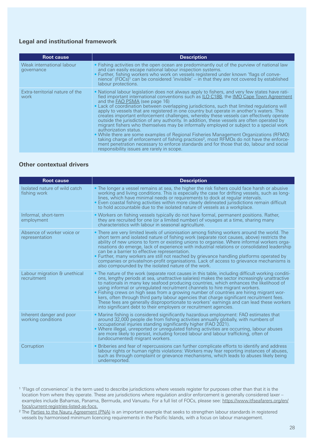## **Legal and institutional framework**

| <b>Root cause</b>                       | <b>Description</b>                                                                                                                                                                                                                                                                                                                                                                                                                                                                                                                                                                                                                                                                                                                                                                                                                                                                                                                                                                                                                                                                     |
|-----------------------------------------|----------------------------------------------------------------------------------------------------------------------------------------------------------------------------------------------------------------------------------------------------------------------------------------------------------------------------------------------------------------------------------------------------------------------------------------------------------------------------------------------------------------------------------------------------------------------------------------------------------------------------------------------------------------------------------------------------------------------------------------------------------------------------------------------------------------------------------------------------------------------------------------------------------------------------------------------------------------------------------------------------------------------------------------------------------------------------------------|
| Weak international labour<br>governance | • Fishing activities on the open ocean are predominantly out of the purview of national law<br>and can easily escape national labour inspection systems.<br>• Further, fishing workers who work on vessels registered under known 'flags of conve-<br>nience' $(FOCs)^1$ can be considered 'invisible' – in that they are not covered by established<br>labour protections.                                                                                                                                                                                                                                                                                                                                                                                                                                                                                                                                                                                                                                                                                                            |
| Extra-territorial nature of the<br>work | • National labour legislation does not always apply to fishers, and very few states have rati-<br>fied important international conventions such as ILO C188, the IMO Cape Town Agreement<br>and the <b>FAO PSMA</b> (see page 16)<br>• Lack of coordination between overlapping jurisdictions, such that limited regulations will<br>apply to vessels that are registered in one country but operate in another's waters. This<br>creates important enforcement challenges, whereby these vessels can effectively operate<br>outside the jurisdiction of any authority. In addition, these vessels are often operated by<br>migrant fishers who themselves may be informally employed or subject to a special work<br>authorization status.<br>. While there are some examples of Regional Fisheries Management Organizations (RFMO)<br>taking charge of enforcement of fishing practices <sup>2</sup> , most RFMOs do not have the enforce-<br>ment penetration necessary to enforce standards and for those that do, labour and social<br>responsibility issues are rarely in scope. |

#### **Other contextual drivers**

| <b>Root cause</b>                              | <b>Description</b>                                                                                                                                                                                                                                                                                                                                                                                                                                                                                                                                                                                                                                                                                                                      |
|------------------------------------------------|-----------------------------------------------------------------------------------------------------------------------------------------------------------------------------------------------------------------------------------------------------------------------------------------------------------------------------------------------------------------------------------------------------------------------------------------------------------------------------------------------------------------------------------------------------------------------------------------------------------------------------------------------------------------------------------------------------------------------------------------|
| Isolated nature of wild catch<br>fishing work  | • The longer a vessel remains at sea, the higher the risk fishers could face harsh or abusive<br>working and living conditions. This is especially the case for drifting vessels, such as long-<br>lines, which have minimal needs or requirements to dock at regular intervals.<br>• Even coastal fishing activities within more clearly delineated jurisdictions remain difficult<br>to hold accountable due to the isolated nature of vessels as a workplace.                                                                                                                                                                                                                                                                        |
| Informal, short-term<br>employment             | • Workers on fishing vessels typically do not have formal, permanent positions. Rather,<br>they are recruited for one (or a limited number) of voyages at a time, sharing many<br>characteristics with labour in seasonal agriculture.                                                                                                                                                                                                                                                                                                                                                                                                                                                                                                  |
| Absence of worker voice or<br>representation   | • There are very limited levels of unionisation among fishing workers around the world. The<br>short term and isolated nature of fishing work (separate root causes, above) restricts the<br>ability of new unions to form or existing unions to organise. Where informal workers orga-<br>nisations do emerge, lack of experience with industrial relations or consolidated leadership<br>can be a barrier to effective representation.<br>. Further, many workers are still not reached by grievance handling platforms operated by<br>companies or private/non-profit organisations. Lack of access to grievance mechanisms is<br>also compounded by the isolated nature of the work.                                                |
| Labour migration & unethical<br>recruitment    | • The nature of the work (separate root causes in this table, including difficult working conditi-<br>ons, lengthy periods at sea, unattractive salaries) makes the sector increasingly unattractive<br>to nationals in many key seafood producing countries, which enhances the likelihood of<br>using informal or unregulated recruitment channels to hire migrant workers.<br>• Fishing crews on high seas from a growing number of countries are hiring migrant wor-<br>kers, often through third party labour agencies that charge significant recruitment fees.<br>These fees are generally disproportionate to workers' earnings and can lead these workers<br>into significant debt to their employers or recruitment agencies. |
| Inherent danger and poor<br>working conditions | • Marine fishing is considered significantly hazardous employment: FAO estimates that<br>around 32,000 people die from fishing activities annually globally, with numbers of<br>occupational injuries standing significantly higher (FAO 2021).<br>. Where illegal, unreported or unregulated fishing activities are occurring, labour abuses<br>are more likely to persist, including forced labour and labour trafficking, often of<br>(undocumented) migrant workers.                                                                                                                                                                                                                                                                |
| Corruption                                     | Briberies and fear of repercussions can further complicate efforts to identify and address<br>labour rights or human rights violations: Workers may fear reporting instances of abuses,<br>such as through complaint or grievance mechanisms, which leads to abuses likely being<br>underreported.                                                                                                                                                                                                                                                                                                                                                                                                                                      |

<sup>1</sup> 'Flags of convenience' is the term used to describe jurisdictions where vessels register for purposes other than that it is the location from where they operate. These are jurisdictions where regulation and/or enforcement is generally considered laxer – examples include Bahamas, Panama, Bermuda, and Vanuatu. For a full list of FOCs, please see: https://www.itfseafarers.org/en/ focs/current-registries-listed-as-focs.

<sup>2</sup> The Parties to the Nauru Agreement (PNA) is an important example that seeks to strengthen labour standards in registered vessels by harmonised minimum licencing requirements in the Pacific Islands, with a focus on labour management.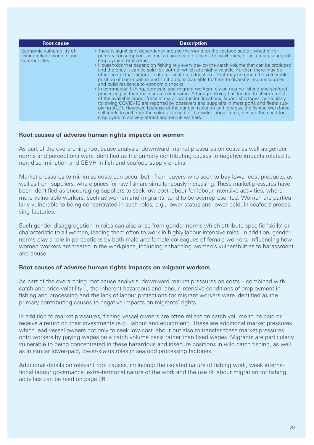| <b>Root cause</b>                                                       | <b>Description</b>                                                                                                                                                                                                                                                                                                                                                                                                                                                                                                                                                                                                                                                                                                                                                                                                                                                                                                                                                                                                                                                                                                                                                                                                                                                             |
|-------------------------------------------------------------------------|--------------------------------------------------------------------------------------------------------------------------------------------------------------------------------------------------------------------------------------------------------------------------------------------------------------------------------------------------------------------------------------------------------------------------------------------------------------------------------------------------------------------------------------------------------------------------------------------------------------------------------------------------------------------------------------------------------------------------------------------------------------------------------------------------------------------------------------------------------------------------------------------------------------------------------------------------------------------------------------------------------------------------------------------------------------------------------------------------------------------------------------------------------------------------------------------------------------------------------------------------------------------------------|
| Economic vulnerability of<br>fishing reliant workers and<br>communities | • There is significant dependency around the world on the seafood sector, whether for<br>primary consumption, as one's main mean of access to livelihoods, or as a main source of<br>employment or income.<br>• Households that depend on fishing rely every day on the catch volume that can be produced<br>and the price it can be sold for, both of which are highly volatile. Further, there may be<br>other contextual factors – culture, location, education – that may entrench the vulnerable<br>position of communities and limit options available to them to diversify income sources<br>and build resilience to economic shocks.<br>• In commercial fishing, domestic and migrant workers rely on marine fishing and seafood<br>processing as their main source of income. Although fishing has tended to absorb most<br>of the available labour force in major production locations, labour shortages, particularly<br>following COVID-19 are reported by observers and suppliers in most ports and fleets sup-<br>plying ALDI. However, because of the danger, isolation and low pay, the fishing workforce<br>still tends to pull from the vulnerable end of the wider labour force, despite the need for<br>employers to actively attract and recruit workers. |

#### **Root causes of adverse human rights impacts on women**

As part of the overarching root cause analysis, downward market pressures on costs as well as gender norms and perceptions were identified as the primary contributing causes to negative impacts related to non-discrimination and GBVH in fish and seafood supply chains.

Market pressures to minimise costs can occur both from buyers who seek to buy lower cost products, as well as from suppliers, where prices for raw fish are simultaneously increasing. These market pressures have been identified as encouraging suppliers to seek low-cost labour for labour-intensive activities, where more vulnerable workers, such as women and migrants, tend to be overrepresented. Women are particularly vulnerable to being concentrated in such roles, e.g., lower-status and lower-paid, in seafood processing factories.

Such gender disaggregation in roles can also arise from gender norms which attribute specific 'skills' or characteristic to all women, leading them often to work in highly labour-intensive roles. In addition, gender norms play a role in perceptions by both male and female colleagues of female workers, influencing how women workers are treated in the workplace, including enhancing women's vulnerabilities to harassment and abuse.

#### **Root causes of adverse human rights impacts on migrant workers**

As part of the overarching root cause analysis, downward market pressures on costs – combined with catch and price volatility –, the inherent hazardous and labour-intensive conditions of employment in fishing and processing and the lack of labour protections for migrant workers were identified as the primary contributing causes to negative impacts on migrants' rights.

In addition to market pressures, fishing vessel owners are often reliant on catch volume to be paid or receive a return on their investments (e.g., labour and equipment). These are additional market pressures which lead vessel owners not only to seek low-cost labour but also to transfer these market pressures onto workers by paying wages on a catch volume basis rather than fixed wages. Migrants are particularly vulnerable to being concentrated in these hazardous and insecure positions in wild catch fishing, as well as in similar lower-paid, lower-status roles in seafood processing factories.

Additional details on relevant root causes, including: the isolated nature of fishing work, weak international labour governance, extra-territorial nature of the work and the use of labour migration for fishing activities can be read on page 26.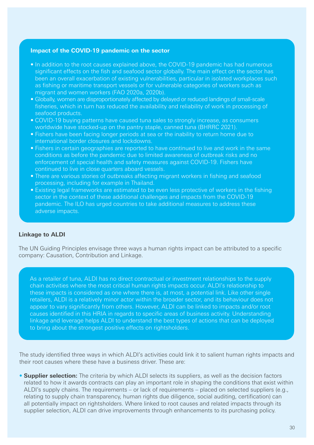#### **Impact of the COVID-19 pandemic on the sector**

- In addition to the root causes explained above, the COVID-19 pandemic has had numerous significant effects on the fish and seafood sector globally. The main effect on the sector has been an overall exacerbation of existing vulnerabilities, particular in isolated workplaces such as fishing or maritime transport vessels or for vulnerable categories of workers such as migrant and women workers (FAO 2020a, 2020b).
- Globally, women are disproportionately affected by delayed or reduced landings of small-scale fisheries, which in turn has reduced the availability and reliability of work in processing of seafood products.
- COVID-19 buying patterns have caused tuna sales to strongly increase, as consumers worldwide have stocked-up on the pantry staple, canned tuna (BHRRC 2021).
- Fishers have been facing longer periods at sea or the inability to return home due to international border closures and lockdowns.
- Fishers in certain geographies are reported to have continued to live and work in the same conditions as before the pandemic due to limited awareness of outbreak risks and no enforcement of special health and safety measures against COVID-19. Fishers have continued to live in close quarters aboard vessels.
- There are various stories of outbreaks affecting migrant workers in fishing and seafood processing, including for example in Thailand.
- Existing legal frameworks are estimated to be even less protective of workers in the fishing sector in the context of these additional challenges and impacts from the COVID-19 pandemic. The ILO has urged countries to take additional measures to address these adverse impacts.

#### **Linkage to ALDI**

The UN Guiding Principles envisage three ways a human rights impact can be attributed to a specific company: Causation, Contribution and Linkage.

As a retailer of tuna, ALDI has no direct contractual or investment relationships to the supply chain activities where the most critical human rights impacts occur. ALDI's relationship to these impacts is considered as one where there is, at most, a potential link. Like other single retailers, ALDI is a relatively minor actor within the broader sector, and its behaviour does not appear to vary significantly from others. However, ALDI can be linked to impacts and/or root causes identified in this HRIA in regards to specific areas of business activity. Understanding linkage and leverage helps ALDI to understand the best types of actions that can be deployed to bring about the strongest positive effects on rightsholders.

The study identified three ways in which ALDI's activities could link it to salient human rights impacts and their root causes where these have a business driver. These are:

• **Supplier selection:** The criteria by which ALDI selects its suppliers, as well as the decision factors related to how it awards contracts can play an important role in shaping the conditions that exist within ALDI's supply chains. The requirements – or lack of requirements – placed on selected suppliers (e.g., relating to supply chain transparency, human rights due diligence, social auditing, certification) can all potentially impact on rightsholders. Where linked to root causes and related impacts through its supplier selection, ALDI can drive improvements through enhancements to its purchasing policy.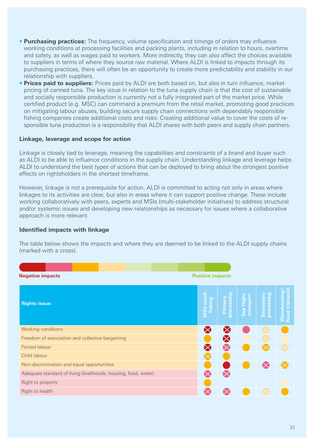- **Purchasing practices:** The frequency, volume specification and timings of orders may influence working conditions at processing facilities and packing plants, including in relation to hours, overtime and safety, as well as wages paid to workers. More indirectly, they can also affect the choices available to suppliers in terms of where they source raw material. Where ALDI is linked to impacts through its purchasing practices, there will often be an opportunity to create more predictability and stability in our relationship with suppliers.
- **Prices paid to suppliers:** Prices paid by ALDI are both based on, but also in turn influence, market pricing of canned tuna. The key issue in relation to the tuna supply chain is that the cost of sustainable and socially responsible production is currently not a fully integrated part of the market price. While certified product (e.g. MSC) can command a premium from the retail market, promoting good practices on mitigating labour abuses, building secure supply chain connections with dependably responsible fishing companies create additional costs and risks. Creating additional value to cover the costs of responsible tuna production is a responsibility that ALDI shares with both peers and supply chain partners.

#### **Linkage, leverage and scope for action**

Linkage is closely tied to leverage, meaning the capabilities and constraints of a brand and buyer such as ALDI to be able to influence conditions in the supply chain. Understanding linkage and leverage helps ALDI to understand the best types of actions that can be deployed to bring about the strongest positive effects on rightsholders in the shortest timeframe.

However, linkage is not a prerequisite for action. ALDI is committed to acting not only in areas where linkages to its activities are clear, but also in areas where it can support positive change. These include working collaboratively with peers, experts and MSIs (multi-stakeholder initiatives) to address structural and/or systemic issues and developing new relationships as necessary for issues where a collaborative approach is more relevant.

#### **Identified impacts with linkage**

The table below shows the impacts and where they are deemed to be linked to the ALDI supply chains (marked with a cross).

| <b>Positive impacts</b><br><b>Negative impacts</b>              |                              |                        |                         |                         |                                                                                                                                    |
|-----------------------------------------------------------------|------------------------------|------------------------|-------------------------|-------------------------|------------------------------------------------------------------------------------------------------------------------------------|
| <b>Rights issue:</b>                                            | <b>Wild catch</b><br>fishing | o<br><b>Ranin</b><br>Ā | Sea fright<br>transport | processing<br>Secondary | ō<br>$\overline{\bullet}$<br>c<br>transp<br>$\cdot\bar{\bar{\mathbf{5}}}$<br>Б<br>$\circ$<br>$\omega$<br>ರ<br>Roa<br>$\sigma$<br>℥ |
| Working conditions                                              | $\bm{\times}$                | $\bm{\times}$          |                         |                         |                                                                                                                                    |
| Freedom of association and collective bargaining                |                              | $\bm{\times}$          |                         |                         |                                                                                                                                    |
| Forced labour                                                   |                              |                        |                         |                         |                                                                                                                                    |
| Child labour                                                    |                              |                        |                         |                         |                                                                                                                                    |
| Non-discrimination and equal opportunities                      |                              |                        |                         |                         |                                                                                                                                    |
| Adequate standard of living (livelihoods, housing, food, water) |                              | $\propto$              |                         |                         |                                                                                                                                    |
| Right to property                                               |                              |                        |                         |                         |                                                                                                                                    |
| Right to health                                                 |                              |                        |                         |                         |                                                                                                                                    |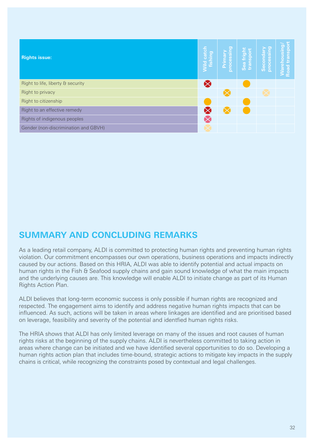| <b>Rights issue:</b>                 | Wild catch<br>fishing | processing<br>Primary | Sea fright<br>transport | processing<br><b>Secondary</b> | Warehousing/<br>Road transport |
|--------------------------------------|-----------------------|-----------------------|-------------------------|--------------------------------|--------------------------------|
| Right to life, liberty & security    |                       |                       |                         |                                |                                |
| Right to privacy                     |                       |                       |                         |                                |                                |
| Right to citizenship                 |                       |                       |                         |                                |                                |
| Right to an effective remedy         |                       |                       |                         |                                |                                |
| Rights of indigenous peoples         |                       |                       |                         |                                |                                |
| Gender (non-discrimination and GBVH) |                       |                       |                         |                                |                                |

# **SUMMARY AND CONCLUDING REMARKS**

As a leading retail company, ALDI is committed to protecting human rights and preventing human rights violation. Our commitment encompasses our own operations, business operations and impacts indirectly caused by our actions. Based on this HRIA, ALDI was able to identify potential and actual impacts on human rights in the Fish & Seafood supply chains and gain sound knowledge of what the main impacts and the underlying causes are. This knowledge will enable ALDI to initiate change as part of its Human Rights Action Plan.

ALDI believes that long-term economic success is only possible if human rights are recognized and respected. The engagement aims to identify and address negative human rights impacts that can be influenced. As such, actions will be taken in areas where linkages are identified and are prioritised based on leverage, feasibility and severity of the potential and identfied human rights risks.

The HRIA shows that ALDI has only limited leverage on many of the issues and root causes of human rights risks at the beginning of the supply chains. ALDI is nevertheless committed to taking action in areas where change can be initiated and we have identified several opportunities to do so. Developing a human rights action plan that includes time-bound, strategic actions to mitigate key impacts in the supply chains is critical, while recognizing the constraints posed by contextual and legal challenges.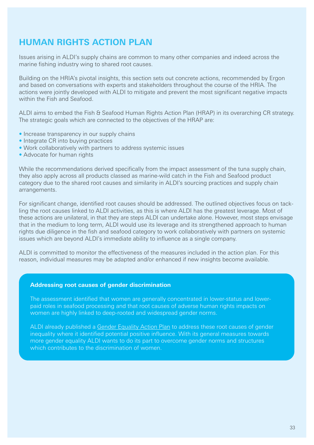# **HUMAN RIGHTS ACTION PLAN**

Issues arising in ALDI's supply chains are common to many other companies and indeed across the marine fishing industry wing to shared root causes.

Building on the HRIA's pivotal insights, this section sets out concrete actions, recommended by Ergon and based on conversations with experts and stakeholders throughout the course of the HRIA. The actions were jointly developed with ALDI to mitigate and prevent the most significant negative impacts within the Fish and Seafood.

ALDI aims to embed the Fish & Seafood Human Rights Action Plan (HRAP) in its overarching CR strategy. The strategic goals which are connected to the objectives of the HRAP are:

- Increase transparency in our supply chains
- Integrate CR into buying practices
- Work collaboratively with partners to address systemic issues
- Advocate for human rights

While the recommendations derived specifically from the impact assessment of the tuna supply chain, they also apply across all products classed as marine-wild catch in the Fish and Seafood product category due to the shared root causes and similarity in ALDI's sourcing practices and supply chain arrangements.

For significant change, identified root causes should be addressed. The outlined objectives focus on tackling the root causes linked to ALDI activities, as this is where ALDI has the greatest leverage. Most of these actions are unilateral, in that they are steps ALDI can undertake alone. However, most steps envisage that in the medium to long term, ALDI would use its leverage and its strengthened approach to human rights due diligence in the fish and seafood category to work collaboratively with partners on systemic issues which are beyond ALDI's immediate ability to influence as a single company.

ALDI is committed to monitor the effectiveness of the measures included in the action plan. For this reason, individual measures may be adapted and/or enhanced if new insights become available.

#### **Addressing root causes of gender discrimination**

The assessment identified that women are generally concentrated in lower-status and lowerpaid roles in seafood processing and that root causes of adverse human rights impacts on women are highly linked to deep-rooted and widespread gender norms.

ALDI already published a Gender Equality Action Plan to address these root causes of gender inequality where it identified potential positive influence. With its general measures towards more gender equality ALDI wants to do its part to overcome gender norms and structures which contributes to the discrimination of women.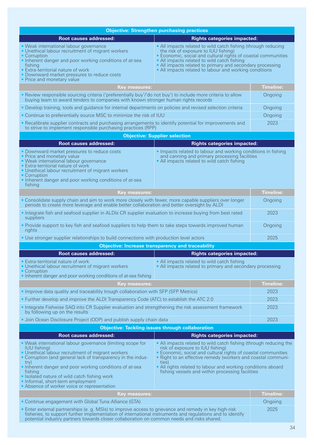| Root causes addressed:                                                                                                                                                                                                                                                                                                                                                                                                                                                                                                                                                                                                                                                                                                                                                                          | <b>Objective: Strengthen purchasing practices</b>                                                                                                             |                  |
|-------------------------------------------------------------------------------------------------------------------------------------------------------------------------------------------------------------------------------------------------------------------------------------------------------------------------------------------------------------------------------------------------------------------------------------------------------------------------------------------------------------------------------------------------------------------------------------------------------------------------------------------------------------------------------------------------------------------------------------------------------------------------------------------------|---------------------------------------------------------------------------------------------------------------------------------------------------------------|------------------|
| <b>Rights categories impacted:</b><br>• Weak international labour governance<br>• All impacts related to wild catch fishing (through reducing<br>• Unethical labour recruitment of migrant workers<br>the risk of exposure to IUU fishing)<br>• Economic, social and cultural rights of coastal communities<br>• Corruption<br>• All impacts related to wild catch fishing<br>• Inherent danger and poor working conditions of at-sea<br>• All impacts related to primary and secondary processing<br>fishing<br>• All impacts related to labour and working conditions<br>• Extra-territorial nature of work<br>• Downward market pressures to reduce costs<br>• Price and monetary value                                                                                                      |                                                                                                                                                               |                  |
| Key measures:                                                                                                                                                                                                                                                                                                                                                                                                                                                                                                                                                                                                                                                                                                                                                                                   |                                                                                                                                                               | <b>Timeline:</b> |
| Review responsible sourcing criteria ('preferentially buy'/'do not buy') to include more criteria to allow<br>buying team to award tenders to companies with known stronger human rights records                                                                                                                                                                                                                                                                                                                                                                                                                                                                                                                                                                                                | Ongoing                                                                                                                                                       |                  |
| • Develop training, tools and guidance for internal departments on policies and revised selection criteria                                                                                                                                                                                                                                                                                                                                                                                                                                                                                                                                                                                                                                                                                      |                                                                                                                                                               | Ongoing          |
| • Continue to preferentially source MSC to minimize the risk of IUU                                                                                                                                                                                                                                                                                                                                                                                                                                                                                                                                                                                                                                                                                                                             |                                                                                                                                                               | Ongoing          |
| • Recalibrate supplier contracts and purchasing arrangements to identify potential for improvements and<br>to strive to implement responsible purchasing practices (RPP)                                                                                                                                                                                                                                                                                                                                                                                                                                                                                                                                                                                                                        |                                                                                                                                                               | 2023             |
|                                                                                                                                                                                                                                                                                                                                                                                                                                                                                                                                                                                                                                                                                                                                                                                                 | <b>Objective: Supplier selection</b>                                                                                                                          |                  |
| Root causes addressed:                                                                                                                                                                                                                                                                                                                                                                                                                                                                                                                                                                                                                                                                                                                                                                          | <b>Rights categories impacted:</b>                                                                                                                            |                  |
| • Downward market pressures to reduce costs<br>• Price and monetary value<br>• Weak international labour governance<br>• Extra-territorial nature of work<br>• Unethical labour recruitment of migrant workers<br>• Corruption<br>• Inherent danger and poor working conditions of at-sea<br>fishing                                                                                                                                                                                                                                                                                                                                                                                                                                                                                            | • Impacts related to labour and working conditions in fishing<br>and canning and primary processing facilities<br>• All impacts related to wild catch fishing |                  |
| <b>Key measures:</b>                                                                                                                                                                                                                                                                                                                                                                                                                                                                                                                                                                                                                                                                                                                                                                            | <b>Timeline:</b>                                                                                                                                              |                  |
| Consolidate supply chain and aim to work more closely with fewer, more capable suppliers over longer<br>periods to create more leverage and enable better collaboration and better oversight by ALDI                                                                                                                                                                                                                                                                                                                                                                                                                                                                                                                                                                                            | Ongoing                                                                                                                                                       |                  |
| • Integrate fish and seafood supplier in ALDIs CR supplier evaluation to increase buying from best rated<br>suppliers                                                                                                                                                                                                                                                                                                                                                                                                                                                                                                                                                                                                                                                                           | 2023                                                                                                                                                          |                  |
| • Provide support to key fish and seafood suppliers to help them to take steps towards improved human<br>rights                                                                                                                                                                                                                                                                                                                                                                                                                                                                                                                                                                                                                                                                                 |                                                                                                                                                               | Ongoing          |
| • Use stronger supplier relationships to build connections with production level actors                                                                                                                                                                                                                                                                                                                                                                                                                                                                                                                                                                                                                                                                                                         |                                                                                                                                                               | 2025             |
|                                                                                                                                                                                                                                                                                                                                                                                                                                                                                                                                                                                                                                                                                                                                                                                                 | <b>Objective: Increase transparency and traceability</b>                                                                                                      |                  |
| <b>Root causes addressed:</b>                                                                                                                                                                                                                                                                                                                                                                                                                                                                                                                                                                                                                                                                                                                                                                   | <b>Rights categories impacted:</b>                                                                                                                            |                  |
| Extra-territorial nature of work<br>• Unethical labour recruitment of migrant workers<br>• Corruption<br>• Inherent danger and poor working conditions of at-sea fishing                                                                                                                                                                                                                                                                                                                                                                                                                                                                                                                                                                                                                        | • All impacts related to wild catch fishing<br>• All impacts related to primary and secondary processing                                                      |                  |
| <b>Key measures:</b>                                                                                                                                                                                                                                                                                                                                                                                                                                                                                                                                                                                                                                                                                                                                                                            |                                                                                                                                                               | Timeline:        |
| • Improve data quality and traceability trough collaboration with SFP (SFP Metrics)                                                                                                                                                                                                                                                                                                                                                                                                                                                                                                                                                                                                                                                                                                             |                                                                                                                                                               | 2023             |
| • Further develop and improve the ALDI Transparency Code (ATC) to establish the ATC 2.0                                                                                                                                                                                                                                                                                                                                                                                                                                                                                                                                                                                                                                                                                                         |                                                                                                                                                               | 2023             |
| • Integrate Fishwise SAQ into CR Supplier evaluation and strengthening the risk assessment framework<br>by following up on the results                                                                                                                                                                                                                                                                                                                                                                                                                                                                                                                                                                                                                                                          |                                                                                                                                                               | 2023             |
| • Join Ocean Disclosure Project (ODP) and publish supply chain data                                                                                                                                                                                                                                                                                                                                                                                                                                                                                                                                                                                                                                                                                                                             |                                                                                                                                                               | 2023             |
|                                                                                                                                                                                                                                                                                                                                                                                                                                                                                                                                                                                                                                                                                                                                                                                                 | <b>Objective: Tackling issues through collaboration</b>                                                                                                       |                  |
| <b>Root causes addressed:</b>                                                                                                                                                                                                                                                                                                                                                                                                                                                                                                                                                                                                                                                                                                                                                                   | <b>Rights categories impacted:</b>                                                                                                                            |                  |
| • Weak international labour governance (limiting scope for<br>• All impacts related to wild catch fishing (through reducing the<br><b>IUU</b> fishing)<br>risk of exposure to IUU fishing)<br>• Economic, social and cultural rights of coastal communities<br>• Unethical labour recruitment of migrant workers<br>• Right to an effective remedy (workers and coastal communi-<br>• Corruption (and general lack of transparency in the indus-<br>try)<br>ties)<br>• Inherent danger and poor working conditions of at-sea<br>• All rights related to labour and working conditions aboard<br>fishing vessels and within processing facilities<br>tishing<br>· Isolated nature of wild catch fishing work<br>• Informal, short-term employment<br>• Absence of worker voice or representation |                                                                                                                                                               |                  |
| <b>Key measures:</b>                                                                                                                                                                                                                                                                                                                                                                                                                                                                                                                                                                                                                                                                                                                                                                            | <b>Timeline:</b>                                                                                                                                              |                  |
| • Continue engagement with Global Tuna Alliance (GTA)                                                                                                                                                                                                                                                                                                                                                                                                                                                                                                                                                                                                                                                                                                                                           |                                                                                                                                                               | Ongoing          |
| Enter external partnerships (e.g. MSIs) to improve access to grievance and remedy in key high-risk<br>fisheries, to support further implementation of international instruments and regulations and to identify<br>potential industry partners towards closer collaboration on common needs and risks shared.                                                                                                                                                                                                                                                                                                                                                                                                                                                                                   | 2025                                                                                                                                                          |                  |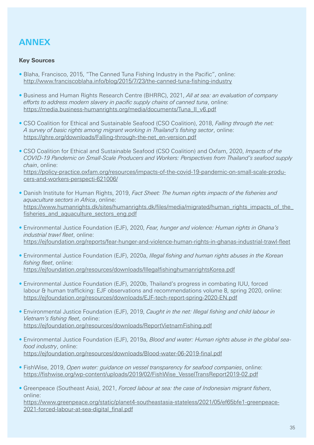# **ANNEX**

# **Key Sources**

- Blaha, Francisco, 2015, "The Canned Tuna Fishing Industry in the Pacific", online: http://www.franciscoblaha.info/blog/2015/7/23/the-canned-tuna-fishing-industry
- Business and Human Rights Research Centre (BHRRC), 2021, *All at sea: an evaluation of company efforts to address modern slavery in pacific supply chains of canned tuna*, online: https://media.business-humanrights.org/media/documents/Tuna\_II\_v6.pdf
- CSO Coalition for Ethical and Sustainable Seafood (CSO Coalition), 2018, *Falling through the net: A survey of basic rights among migrant working in Thailand's fishing sector*, online: https://ghre.org/downloads/Falling-through-the-net\_en-version.pdf
- CSO Coalition for Ethical and Sustainable Seafood (CSO Coalition) and Oxfam, 2020, *Impacts of the COVID-19 Pandemic on Small-Scale Producers and Workers: Perspectives from Thailand's seafood supply chain*, online: https://policy-practice.oxfam.org/resources/impacts-of-the-covid-19-pandemic-on-small-scale-producers-and-workers-perspecti-621006/
- Danish Institute for Human Rights, 2019, *Fact Sheet: The human rights impacts of the fisheries and aquaculture sectors in Africa*, online: https://www.humanrights.dk/sites/humanrights.dk/files/media/migrated/human\_rights\_impacts\_of\_the fisheries\_and\_aquaculture\_sectors\_eng.pdf
- Environmental Justice Foundation (EJF), 2020, *Fear, hunger and violence: Human rights in Ghana's industrial trawl fleet*, online: https://ejfoundation.org/reports/fear-hunger-and-violence-human-rights-in-ghanas-industrial-trawl-fleet
- Environmental Justice Foundation (EJF), 2020a, *Illegal fishing and human rights abuses in the Korean fishing fleet*, online: https://ejfoundation.org/resources/downloads/IllegalfishinghumanrightsKorea.pdf
- Environmental Justice Foundation (EJF), 2020b, Thailand's progress in combating IUU, forced labour & human trafficking: EJF observations and recommendations volume 8, spring 2020, online: https://ejfoundation.org/resources/downloads/EJF-tech-report-spring-2020-EN.pdf
- Environmental Justice Foundation (EJF), 2019, *Caught in the net: Illegal fishing and child labour in Vietnam's fishing fleet*, online: https://ejfoundation.org/resources/downloads/ReportVietnamFishing.pdf
- Environmental Justice Foundation (EJF), 2019a, *Blood and water: Human rights abuse in the global seafood industry*, online: https://ejfoundation.org/resources/downloads/Blood-water-06-2019-final.pdf
- FishWise, 2019, *Open water: guidance on vessel transparency for seafood companies*, online: https://fishwise.org/wp-content/uploads/2019/02/FishWise\_VesselTransReport2019-02.pdf
- Greenpeace (Southeast Asia), 2021, *Forced labour at sea: the case of Indonesian migrant fishers*, online:

https://www.greenpeace.org/static/planet4-southeastasia-stateless/2021/05/ef65bfe1-greenpeace-2021-forced-labour-at-sea-digital\_final.pdf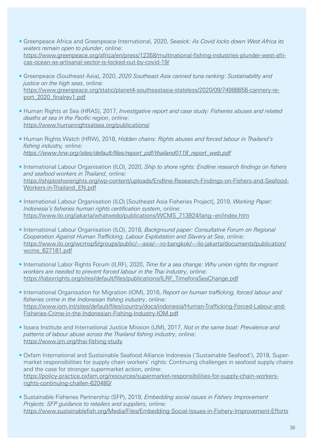- Greenpeace Africa and Greenpeace International, 2020, S*easick: As Covid locks down West Africa its waters remain open to plunder*, online: https://www.greenpeace.org/africa/en/press/12358/multinational-fishing-industries-plunder-west-africas-ocean-as-artisanal-sector-is-locked-out-by-covid-19/
- Greenpeace (Southeast Asia), 2020, *2020 Southeast Asia canned tuna ranking: Sustainability and justice on the high seas*, online: https://www.greenpeace.org/static/planet4-southeastasia-stateless/2020/09/74988656-cannery-report\_2020\_finalrev1.pdf
- Human Rights at Sea (HRAS), 2017, *Investigative report and case study: Fisheries abuses and related deaths at sea in the Pacific region*, online: https://www.humanrightsatsea.org/publications/
- Human Rights Watch (HRW), 2018, *Hidden chains: Rights abuses and forced labour in Thailand's fishing industry,* online: *https://www.hrw.org/sites/default/files/report\_pdf/thailand0118\_report\_web.pdf*
- International Labour Organisation (ILO), 2020, *Ship to shore rights: Endline research findings on fishers and seafood workers in Thailand*, online: https://shiptoshorerights.org/wp-content/uploads/Endline-Research-Findings-on-Fishers-and-Seafood-Workers-in-Thailand\_EN.pdf
- International Labour Organisation (ILO) [Southeast Asia Fisheries Project], 2019, *Working Paper: Indonesia's fisheries human rights certification system*, online: https://www.ilo.org/jakarta/whatwedo/publications/WCMS\_713924/lang--en/index.htm
- International Labour Organisation (ILO), 2018, *Background paper: Consultative Forum on Regional Cooperation Against Human Trafficking, Labour Exploitation and Slavery at Sea*, online: https://www.ilo.org/wcmsp5/groups/public/---asia/---ro-bangkok/---ilo-jakarta/documents/publication/ wcms\_627181.pdf
- International Labor Rights Forum (ILRF), 2020, *Time for a sea change: Why union rights for migrant workers are needed to prevent forced labour in the Thai industry*, online: https://laborrights.org/sites/default/files/publications/ILRF\_TimeforaSeaChange.pdf
- International Organisation for Migration (IOM), 2016, *Report on human trafficking, forced labour and fisheries crime in the Indonesian fishing industry*, online: https://www.iom.int/sites/default/files/country/docs/indonesia/Human-Trafficking-Forced-Labour-and-Fisheries-Crime-in-the-Indonesian-Fishing-Industry-IOM.pdf
- Issara Institute and International Justice Mission (IJM), 2017, *Not in the same boat: Prevalence and patterns of labour abuse across the Thailand fishing industry*, online: https://www.ijm.org/thai-fishing-study
- Oxfam International and Sustainable Seafood Alliance Indonesia ('Sustainable Seafood'), 2018, Supermarket responsibilities for supply chain workers' rights: Continuing challenges in seafood supply chains and the case for stronger supermarket action, online: https://policy-practice.oxfam.org/resources/supermarket-responsibilities-for-supply-chain-workersrights-continuing-challen-620480/
- Sustainable Fisheries Partnership (SFP), 2019, *Embedding social issues in Fishery Improvement Projects: SFP guidance to retailers and suppliers*, online: https://www.sustainablefish.org/Media/Files/Embedding-Social-Issues-in-Fishery-Improvement-Efforts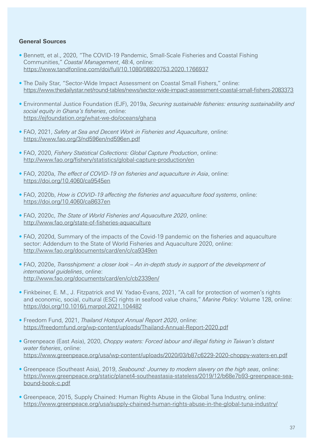# **General Sources**

- Bennett, et al., 2020, "The COVID-19 Pandemic, Small-Scale Fisheries and Coastal Fishing Communities," *Coastal Management*, 48:4, online: https://www.tandfonline.com/doi/full/10.1080/08920753.2020.1766937
- The Daily Star, "Sector-Wide Impact Assessment on Coastal Small Fishers," online: https://www.thedailystar.net/round-tables/news/sector-wide-impact-assessment-coastal-small-fishers-2083373
- Environmental Justice Foundation (EJF), 2019a, *Securing sustainable fisheries: ensuring sustainability and social equity in Ghana's fisheries*, online: https://ejfoundation.org/what-we-do/oceans/ghana
- FAO, 2021, *Safety at Sea and Decent Work in Fisheries and Aquaculture*, online: https://www.fao.org/3/nd596en/nd596en.pdf
- FAO, 2020, *Fishery Statistical Collections: Global Capture Production*, online: http://www.fao.org/fishery/statistics/global-capture-production/en
- FAO, 2020a, *The effect of COVID-19 on fisheries and aquaculture in Asia*, online: https://doi.org/10.4060/ca9545en
- FAO, 2020b, *How is COVID-19 affecting the fisheries and aquaculture food systems*, online: https://doi.org/10.4060/ca8637en
- FAO, 2020c, *The State of World Fisheries and Aquaculture 2020*, online: http://www.fao.org/state-of-fisheries-aquaculture
- FAO, 2020d, Summary of the impacts of the Covid-19 pandemic on the fisheries and aquaculture sector: Addendum to the State of World Fisheries and Aquaculture 2020, online: http://www.fao.org/documents/card/en/c/ca9349en
- FAO, 2020e, *Transshipment: a closer look An in-depth study in support of the development of international guidelines*, online: http://www.fao.org/documents/card/en/c/cb2339en/
- Finkbeiner, E. M., J. Fitzpatrick and W. Yadao-Evans, 2021, "A call for protection of women's rights and economic, social, cultural (ESC) rights in seafood value chains," *Marine Policy*: Volume 128, online: https://doi.org/10.1016/j.marpol.2021.104482
- Freedom Fund, 2021, *Thailand Hotspot Annual Report 2020*, online: https://freedomfund.org/wp-content/uploads/Thailand-Annual-Report-2020.pdf
- Greenpeace (East Asia), 2020, *Choppy waters: Forced labour and illegal fishing in Taiwan's distant water fisheries*, online: https://www.greenpeace.org/usa/wp-content/uploads/2020/03/b87c6229-2020-choppy-waters-en.pdf
- Greenpeace (Southeast Asia), 2019, *Seabound: Journey to modern slavery on the high seas*, online: https://www.greenpeace.org/static/planet4-southeastasia-stateless/2019/12/b68e7b93-greenpeace-seabound-book-c.pdf
- Greenpeace, 2015, Supply Chained: Human Rights Abuse in the Global Tuna Industry, online: https://www.greenpeace.org/usa/supply-chained-human-rights-abuse-in-the-global-tuna-industry/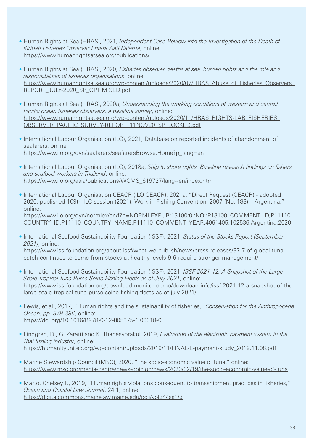- Human Rights at Sea (HRAS), 2021, *Independent Case Review into the Investigation of the Death of Kiribati Fisheries Observer Eritara Aati Kaierua*, online: https://www.humanrightsatsea.org/publications/
- Human Rights at Sea (HRAS), 2020, *Fisheries observer deaths at sea, human rights and the role and responsibilities of fisheries organisations*, online: https://www.humanrightsatsea.org/wp-content/uploads/2020/07/HRAS\_Abuse\_of\_Fisheries\_Observers\_ REPORT\_JULY-2020\_SP\_OPTIMISED.pdf
- Human Rights at Sea (HRAS), 2020a, *Understanding the working conditions of western and central Pacific ocean fisheries observers: a baseline survey*, online: https://www.humanrightsatsea.org/wp-content/uploads/2020/11/HRAS\_RIGHTS-LAB\_FISHERIES\_ OBSERVER\_PACIFIC\_SURVEY-REPORT\_11NOV20\_SP\_LOCKED.pdf
- International Labour Organisation (ILO), 2021, Database on reported incidents of abandonment of seafarers, online: https://www.ilo.org/dyn/seafarers/seafarersBrowse.Home?p\_lang=en
- International Labour Organisation (ILO), 2018a, *Ship to shore rights: Baseline research findings on fishers and seafood workers in Thailand*, online: https://www.ilo.org/asia/publications/WCMS\_619727/lang--en/index.htm
- International Labour Organisation CEACR (ILO CEACR), 2021a, "Direct Request (CEACR) adopted 2020, published 109th ILC session (2021): Work in Fishing Convention, 2007 (No. 188) – Argentina," online:

https://www.ilo.org/dyn/normlex/en/f?p=NORMLEXPUB:13100:0::NO::P13100\_COMMENT\_ID,P11110\_ COUNTRY\_ID,P11110\_COUNTRY\_NAME,P11110\_COMMENT\_YEAR:4061405,102536,Argentina,2020

- International Seafood Sustainability Foundation (ISSF), 2021, *Status of the Stocks Report (September 2021)*, online: https://www.iss-foundation.org/about-issf/what-we-publish/news/press-releases/87-7-of-global-tunacatch-continues-to-come-from-stocks-at-healthy-levels-9-6-require-stronger-management/
- International Seafood Sustainability Foundation (ISSF), 2021, *ISSF 2021-12: A Snapshot of the Large-Scale Tropical Tuna Purse Seine Fishing Fleets as of July 2021*, online: https://www.iss-foundation.org/download-monitor-demo/download-info/issf-2021-12-a-snapshot-of-thelarge-scale-tropical-tuna-purse-seine-fishing-fleets-as-of-july-2021/
- Lewis, et al., 2017, "Human rights and the sustainability of fisheries," *Conservation for the Anthropocene Ocean, pp. 379-396*, online: https://doi.org/10.1016/B978-0-12-805375-1.00018-0
- Lindgren, D., G. Zaratti and K. Thanesvorakul, 2019, *Evaluation of the electronic payment system in the Thai fishing industry*, online: https://humanityunited.org/wp-content/uploads/2019/11/FINAL-E-payment-study\_2019.11.08.pdf
- Marine Stewardship Council (MSC), 2020, "The socio-economic value of tuna," online: https://www.msc.org/media-centre/news-opinion/news/2020/02/19/the-socio-economic-value-of-tuna
- Marto, Chelsey F., 2019, "Human rights violations consequent to transshipment practices in fisheries," *Ocean and Coastal Law Journal*, 24:1, online: https://digitalcommons.mainelaw.maine.edu/oclj/vol24/iss1/3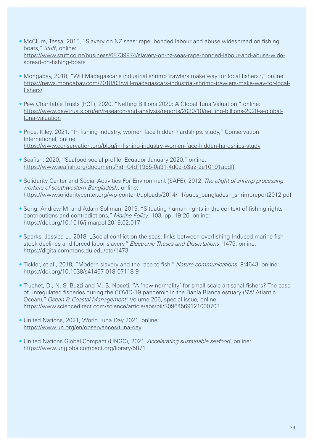- McClure, Tessa, 2015, "Slavery on NZ seas: rape, bonded labour and abuse widespread on fishing boats," *Stuff*, online: https://www.stuff.co.nz/business/68739974/slavery-on-nz-seas-rape-bonded-labour-and-abuse-widespread-on-fishing-boats
- Mongabay, 2018, "Will Madagascar's industrial shrimp trawlers make way for local fishers?," online: https://news.mongabay.com/2018/03/will-madagascars-industrial-shrimp-trawlers-make-way-for-localfishers/
- Pew Charitable Trusts (PCT), 2020, "Netting Billions 2020: A Global Tuna Valuation," online: https://www.pewtrusts.org/en/research-and-analysis/reports/2020/10/netting-billions-2020-a-globaltuna-valuation
- Price, Kiley, 2021, "In fishing industry, women face hidden hardships: study," Conservation International, online: https://www.conservation.org/blog/in-fishing-industry-women-face-hidden-hardships-study
- Seafish, 2020, "Seafood social profile: Ecuador January 2020," online: https://www.seafish.org/document/?id=04df1965-0a31-4d02-b3a2-2e10191abdff
- Solidarity Center and Social Activities For Environment (SAFE), 2012, *The plight of shrimp processing workers of southwestern Bangladesh*, online: https://www.solidaritycenter.org/wp-content/uploads/2014/11/pubs\_bangladesh\_shrimpreport2012.pdf
- Song, Andrew M. and Adam Soliman, 2019, "Situating human rights in the context of fishing rights contributions and contradictions," *Marine Policy*, 103, pp. 19-26, online: https://doi.org/10.1016/j.marpol.2019.02.017
- Sparks, Jessica L., 2018, "Social conflict on the seas: links between overfishing-Induced marine fish stock declines and forced labor slavery," *Electronic Theses and Dissertations*, 1473, online: https://digitalcommons.du.edu/etd/1473
- Tickler, et al., 2018, "Modern slavery and the race to fish," *Nature communications*, 9:4643, online: https://doi.org/10.1038/s41467-018-07118-9
- Truchet, D., N. S. Buzzi and M. B. Noceti, "A 'new normality' for small-scale artisanal fishers? The case of unregulated fisheries during the COVID-19 pandemic in the Bahía Blanca estuary (SW Atlantic Ocean)," *Ocean & Coastal Management*: Volume 206, special issue, online: https://www.sciencedirect.com/science/article/abs/pii/S0964569121000703
- United Nations, 2021, World Tuna Day 2021, online: https://www.un.org/en/observances/tuna-day
- United Nations Global Compact (UNGC), 2021, *Accelerating sustainable seafood*, online: https://www.unglobalcompact.org/library/5871